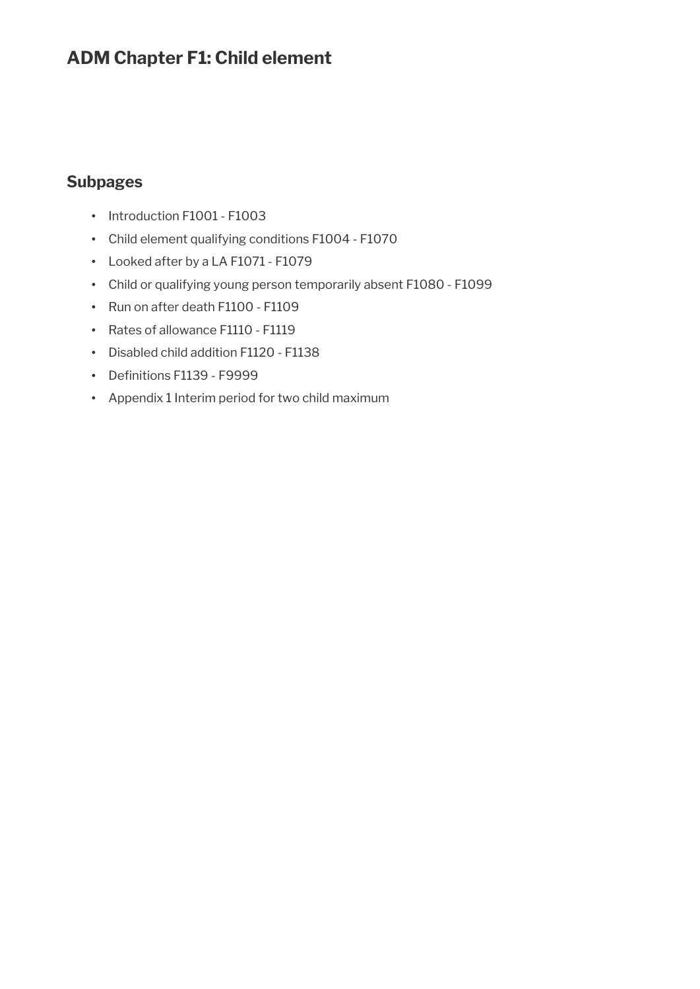# **ADM Chapter F1: Child element**

# **Subpages**

- Introduction F1001 F1003
- Child element qualifying conditions F1004 F1070
- Looked after by a LA F1071 F1079
- Child or qualifying young person temporarily absent F1080 F1099
- Run on after death F1100 F1109
- Rates of allowance F1110 F1119
- Disabled child addition F1120 F1138
- Definitions F1139 F9999
- Appendix 1 Interim period for two child maximum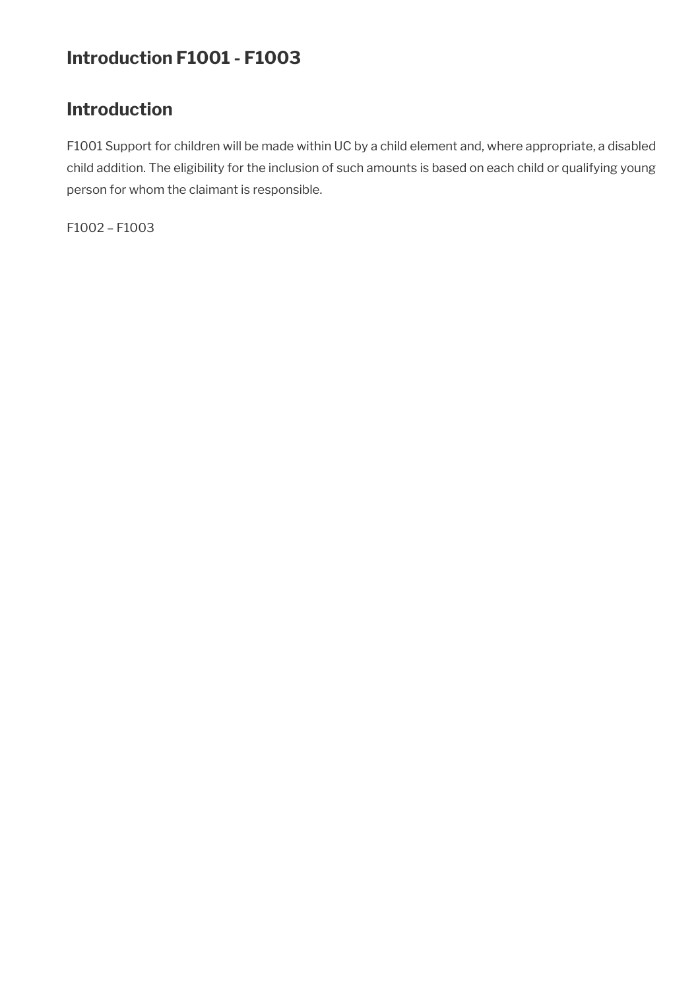# **Introduction F1001 - F1003**

# **Introduction**

F1001 Support for children will be made within UC by a child element and, where appropriate, a disabled child addition. The eligibility for the inclusion of such amounts is based on each child or qualifying young person for whom the claimant is responsible.

F1002 – F1003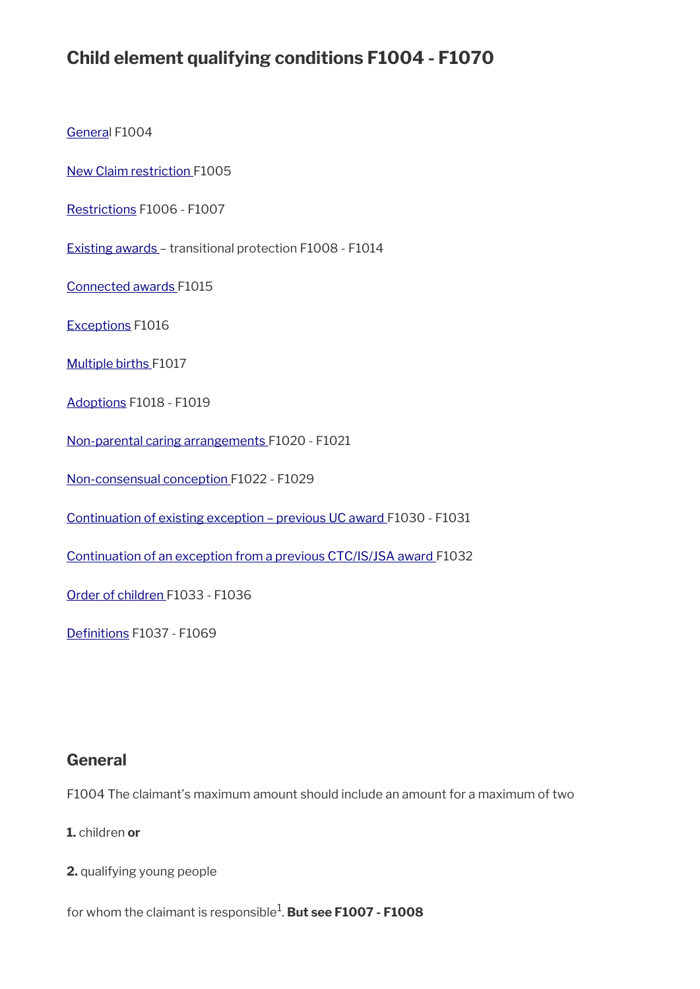# **Child element qualifying conditions F1004 - F1070**

[General](#page-2-0) F1004

New Claim restriction F1005

[Restrictions](#page-3-1) F1006 - F1007

Existing awards – transitional protection F1008 - F1014

Connected awards F1015

[Exceptions](#page-3-0) F1016

[Multiple births](#page-4-1) F1017

[Adoptions](#page-4-0) F1018 - F1019

[Non-parental caring arrangements](#page-5-0) F1020 - F1021

[Non-consensual conception](#page-6-0) F1022 - F1029

[Continuation of existing exception – previous UC award](#page-8-1) F1030 - F1031

[Continuation of an exception from a previous CTC/IS/JSA award](#page-8-0) F1032

[Order of children F](#page-9-1)1033 - F1036

Definitions F1037 - F1069

### <span id="page-2-0"></span>**General**

F1004 The claimant's maximum amount should include an amount for a maximum of two

**1.** children **or** 

**2.** qualifying young people

for whom the claimant is responsible<sup>1</sup>. **But see F1007 - F1008**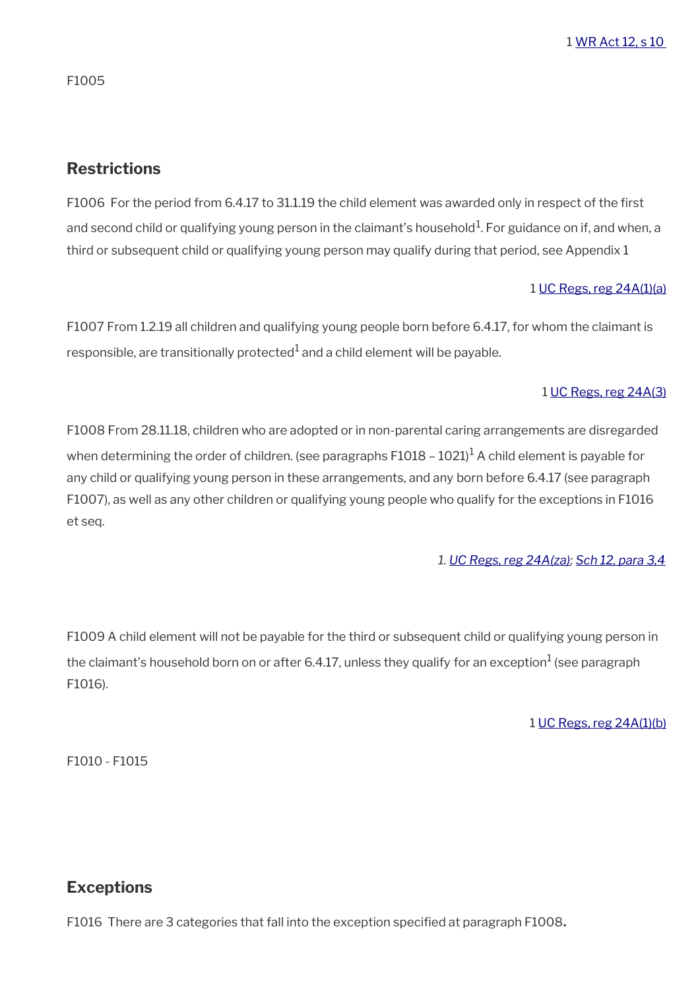1 [WR Act 12, s 10](https://www.legislation.gov.uk/ukpga/2012/5/section/10) 

F1005

# <span id="page-3-1"></span>**Restrictions**

F1006 For the period from 6.4.17 to 31.1.19 the child element was awarded only in respect of the first and second child or qualifying young person in the claimant's household $^1$ . For guidance on if, and when, a third or subsequent child or qualifying young person may qualify during that period, see Appendix 1

#### 1 [UC Regs, reg 24A\(1\)\(a\)](https://www.legislation.gov.uk/uksi/2013/376/regulation/24A)

F1007 From 1.2.19 all children and qualifying young people born before 6.4.17, for whom the claimant is responsible, are transitionally protected $^1$  and a child element will be payable.

#### 1 [UC Regs, reg 24A\(3\)](https://www.legislation.gov.uk/uksi/2013/376/regulation/24A)

F1008 From 28.11.18, children who are adopted or in non-parental caring arrangements are disregarded when determining the order of children. (see paragraphs F1018 – 1021) $^1$  A child element is payable for any child or qualifying young person in these arrangements, and any born before 6.4.17 (see paragraph F1007), as well as any other children or qualifying young people who qualify for the exceptions in F1016 et seq.

#### *1. [UC Regs, reg 24A\(za\)](https://www.legislation.gov.uk/uksi/2013/376/regulation/24A); [Sch 12, para 3,4](https://www.legislation.gov.uk/uksi/2013/376/schedule/12)*

F1009 A child element will not be payable for the third or subsequent child or qualifying young person in the claimant's household born on or after 6.4.17, unless they qualify for an exception $^1$  (see paragraph F1016).

#### 1 [UC Regs, reg 24A\(1\)\(b\)](https://www.legislation.gov.uk/uksi/2013/376/regulation/24A)

F1010 - F1015

# <span id="page-3-0"></span>**Exceptions**

F1016 There are 3 categories that fall into the exception specifed at paragraph F1008**.**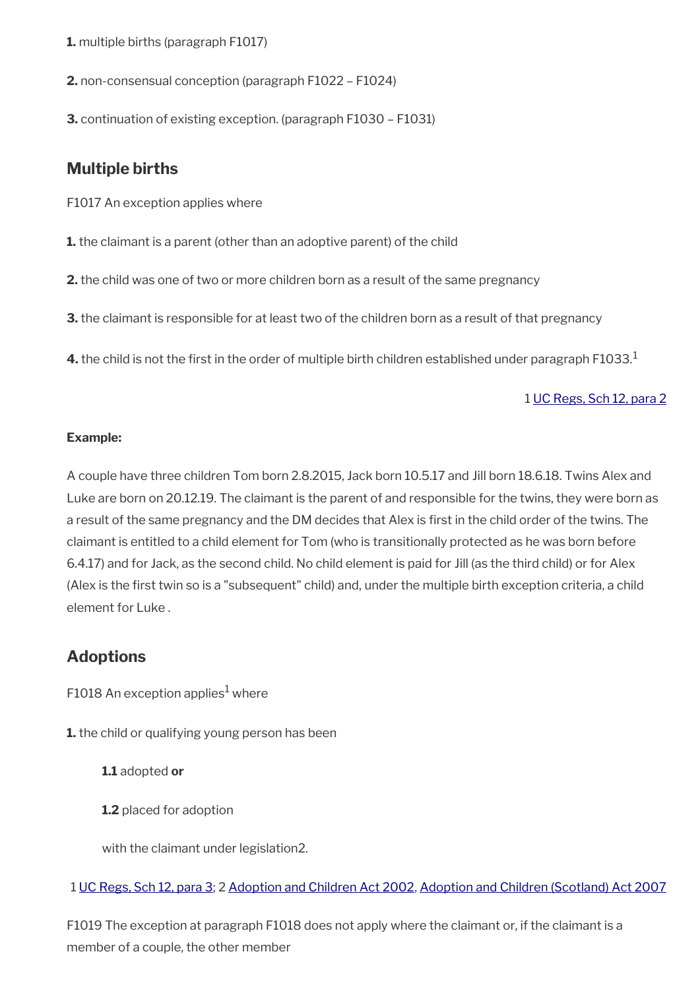- **1.** multiple births (paragraph F1017)
- **2.** non-consensual conception (paragraph F1022 F1024)
- **3.** continuation of existing exception. (paragraph F1030 F1031)

# <span id="page-4-1"></span>**Multiple births**

- F1017 An exception applies where
- **1.** the claimant is a parent (other than an adoptive parent) of the child
- **2.** the child was one of two or more children born as a result of the same pregnancy
- **3.** the claimant is responsible for at least two of the children born as a result of that pregnancy
- **4.** the child is not the first in the order of multiple birth children established under paragraph F1033.<sup>1</sup>

#### 1 [UC Regs, Sch 12, para 2](https://www.legislation.gov.uk/uksi/2013/376/schedule/12)

#### **Example:**

A couple have three children Tom born 2.8.2015, Jack born 10.5.17 and Jill born 18.6.18. Twins Alex and Luke are born on 20.12.19. The claimant is the parent of and responsible for the twins, they were born as a result of the same pregnancy and the DM decides that Alex is first in the child order of the twins. The claimant is entitled to a child element for Tom (who is transitionally protected as he was born before 6.4.17) and for Jack, as the second child. No child element is paid for Jill (as the third child) or for Alex (Alex is the frst twin so is a "subsequent" child) and, under the multiple birth exception criteria, a child element for Luke .

# <span id="page-4-0"></span>**Adoptions**

F1018 An exception applies $^1$  where

**1.** the child or qualifying young person has been

#### **1.1** adopted **or**

**1.2** placed for adoption

with the claimant under legislation2.

#### 1 [UC Regs, Sch 12, para 3](https://www.legislation.gov.uk/uksi/2013/376/schedule/12); 2 [Adoption and Children Act 2002,](https://www.legislation.gov.uk/ukpga/2002/38/contents) [Adoption and Children \(Scotland\) Act 2007](https://www.legislation.gov.uk/asp/2007/4/contents)

F1019 The exception at paragraph F1018 does not apply where the claimant or, if the claimant is a member of a couple, the other member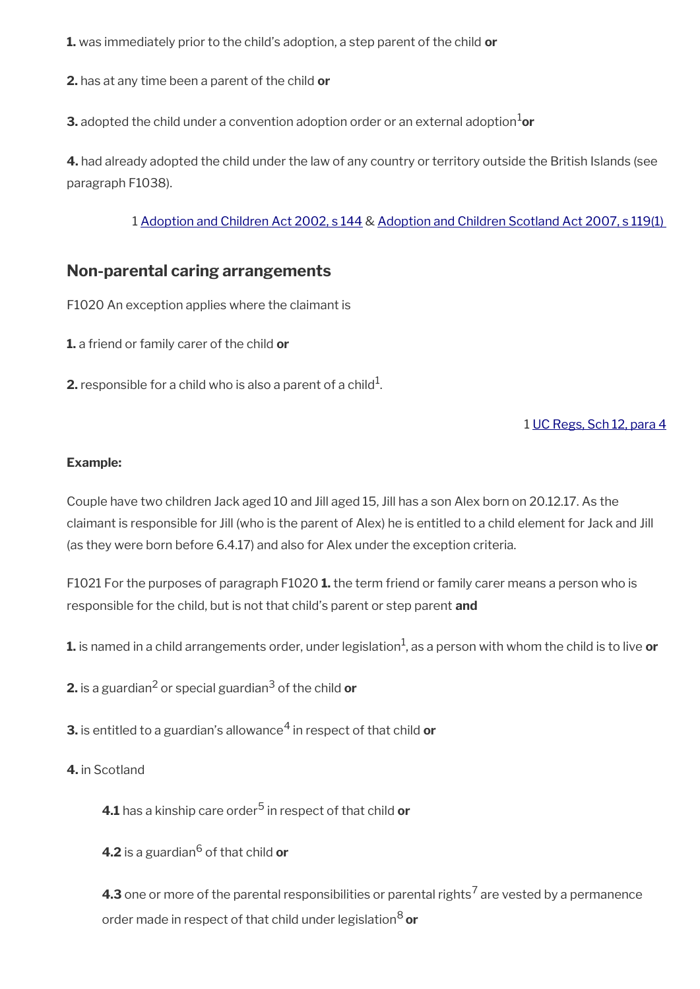**1.** was immediately prior to the child's adoption, a step parent of the child **or**

**2.** has at any time been a parent of the child **or**

**3.** adopted the child under a convention adoption order or an external adoption ${}^{1}$ or

**4.** had already adopted the child under the law of any country or territory outside the British Islands (see paragraph F1038).

1 [Adoption and Children Act 2002, s 144](https://www.legislation.gov.uk/ukpga/2002/38/section/144) & [Adoption and Children Scotland Act 2007, s 119\(1\)](https://www.legislation.gov.uk/asp/2007/4/section/119) 

# <span id="page-5-0"></span>**Non-parental caring arrangements**

F1020 An exception applies where the claimant is

**1.** a friend or family carer of the child **or**

**2.** responsible for a child who is also a parent of a child $^1$ .

#### 1 [UC Regs, Sch 12, para 4](https://www.legislation.gov.uk/uksi/2013/376/schedule/12)

#### **Example:**

Couple have two children Jack aged 10 and Jill aged 15, Jill has a son Alex born on 20.12.17. As the claimant is responsible for Jill (who is the parent of Alex) he is entitled to a child element for Jack and Jill (as they were born before 6.4.17) and also for Alex under the exception criteria.

F1021 For the purposes of paragraph F1020 **1.** the term friend or family carer means a person who is responsible for the child, but is not that child's parent or step parent **and**

 $\boldsymbol{1}$  is named in a child arrangements order, under legislation $^1$ , as a person with whom the child is to live  $\boldsymbol{o}$ r

**2.** is a guardian<sup>2</sup> or special guardian<sup>3</sup> of the child **or** 

**3.** is entitled to a guardian's allowance<sup>4</sup> in respect of that child **or** 

#### **4.** in Scotland

**4.1** has a kinship care order<sup>5</sup> in respect of that child **or** 

**4.2** is a guardian<sup>6</sup> of that child **or** 

**4.3** one or more of the parental responsibilities or parental rights<sup>7</sup> are vested by a permanence order made in respect of that child under legislation8 **or**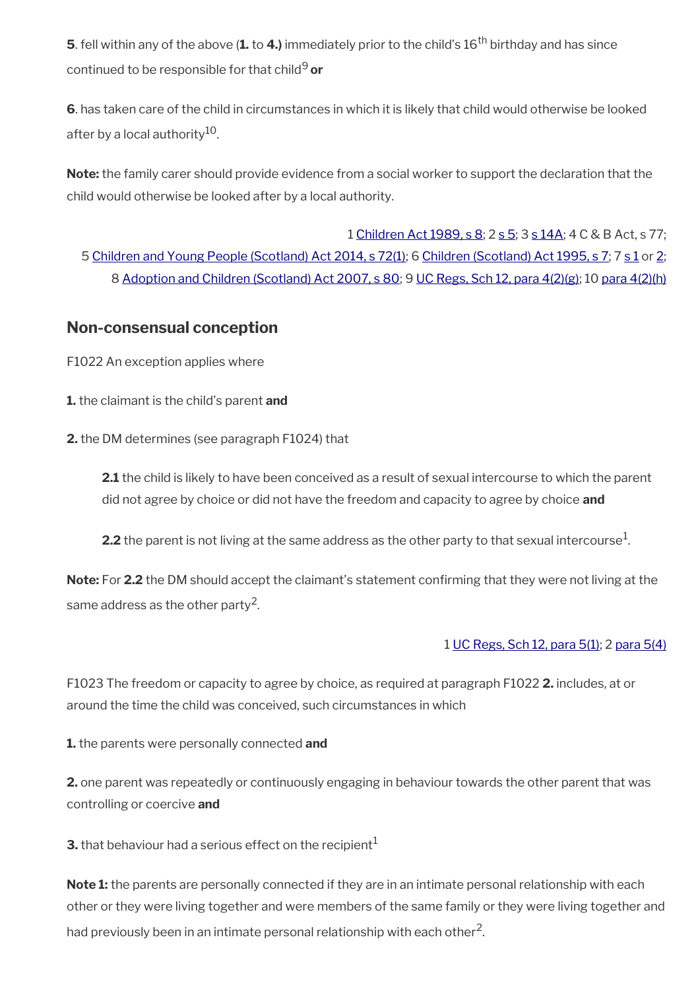**5**. fell within any of the above (1. to 4.) immediately prior to the child's 16<sup>th</sup> birthday and has since continued to be responsible for that child9 **or**

**6**. has taken care of the child in circumstances in which it is likely that child would otherwise be looked after by a local authority<sup>10</sup>.

**Note:** the family carer should provide evidence from a social worker to support the declaration that the child would otherwise be looked after by a local authority.

1 [Children Act 1989, s 8;](https://www.legislation.gov.uk/ukpga/1989/41/section/8) 2 [s 5;](https://www.legislation.gov.uk/ukpga/1989/41/section/5) 3 [s 14A](https://www.legislation.gov.uk/ukpga/1989/41/section/14A); 4 C & B Act, s 77; 5 [Children and Young People \(Scotland\) Act 2014, s 72\(1\)](https://www.legislation.gov.uk/asp/2014/8/section/72); 6 [Children \(Scotland\) Act 1995, s 7;](https://www.legislation.gov.uk/ukpga/1995/36/section/7) 7 [s 1](https://www.legislation.gov.uk/ukpga/1995/36/section/1) or [2;](https://www.legislation.gov.uk/ukpga/1995/36/section/2) 8 [Adoption and Children \(Scotland\) Act 2007, s 80](https://www.legislation.gov.uk/asp/2007/4/section/80); 9 [UC Regs, Sch 12, para 4\(2\)\(g\);](https://www.legislation.gov.uk/uksi/2013/376/schedule/12) 10 [para 4\(2\)\(h\)](https://www.legislation.gov.uk/uksi/2013/376/schedule/12)

# <span id="page-6-0"></span>**Non-consensual conception**

F1022 An exception applies where

- **1.** the claimant is the child's parent **and**
- **2.** the DM determines (see paragraph F1024) that

**2.1** the child is likely to have been conceived as a result of sexual intercourse to which the parent did not agree by choice or did not have the freedom and capacity to agree by choice **and**

**2.2** the parent is not living at the same address as the other party to that sexual intercourse $^1$ .

**Note:** For **2.2** the DM should accept the claimant's statement confrming that they were not living at the same address as the other party $^2\!\!$  .

#### 1 [UC Regs, Sch 12, para 5\(1\)](https://www.legislation.gov.uk/uksi/2013/376/schedule/12); 2 [para 5\(4\)](https://www.legislation.gov.uk/uksi/2013/376/schedule/12)

F1023 The freedom or capacity to agree by choice, as required at paragraph F1022 **2.** includes, at or around the time the child was conceived, such circumstances in which

**1.** the parents were personally connected **and**

**2.** one parent was repeatedly or continuously engaging in behaviour towards the other parent that was controlling or coercive **and**

**3.** that behaviour had a serious effect on the recipient<sup>1</sup>

**Note 1:** the parents are personally connected if they are in an intimate personal relationship with each other or they were living together and were members of the same family or they were living together and had previously been in an intimate personal relationship with each other<sup>2</sup>.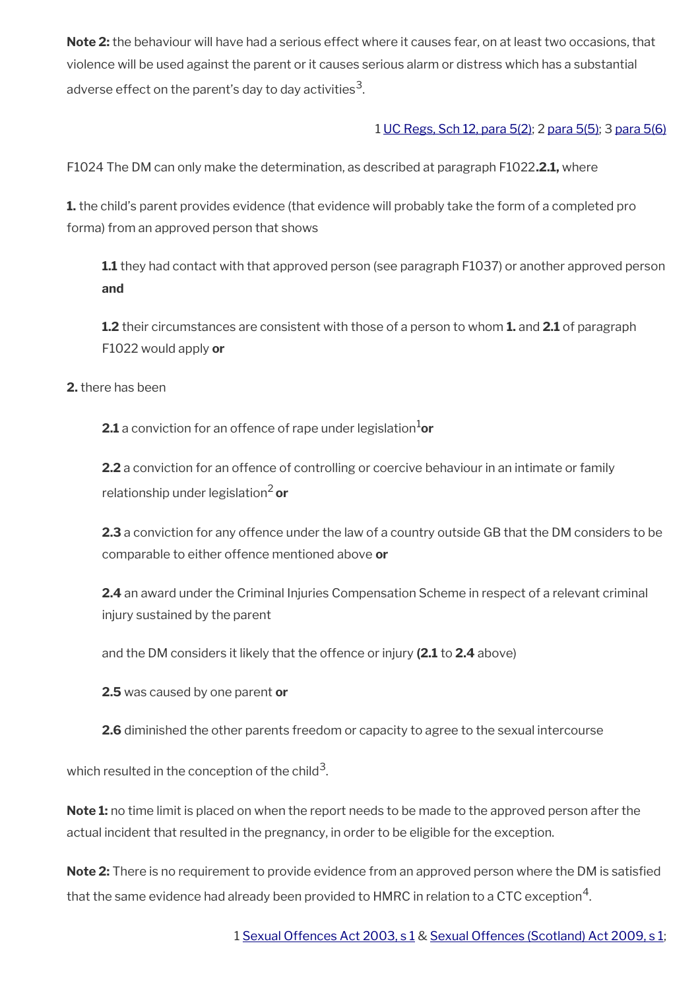**Note 2:** the behaviour will have had a serious effect where it causes fear, on at least two occasions, that violence will be used against the parent or it causes serious alarm or distress which has a substantial adverse effect on the parent's day to day activities $^{\mathsf{3}}$ .

#### 1 [UC Regs, Sch 12, para 5\(2\);](https://www.legislation.gov.uk/uksi/2013/376/schedule/12) 2 [para 5\(5\);](https://www.legislation.gov.uk/uksi/2013/376/schedule/12) 3 [para 5\(6\)](https://www.legislation.gov.uk/uksi/2013/376/schedule/12)

F1024 The DM can only make the determination, as described at paragraph F1022**.2.1,** where

**1.** the child's parent provides evidence (that evidence will probably take the form of a completed pro forma) from an approved person that shows

**1.1** they had contact with that approved person (see paragraph F1037) or another approved person **and**

**1.2** their circumstances are consistent with those of a person to whom **1.** and **2.1** of paragraph F1022 would apply **or**

**2.** there has been

**2.1** a conviction for an offence of rape under legislation<sup>1</sup>or

**2.2** a conviction for an offence of controlling or coercive behaviour in an intimate or family relationship under legislation2 **or**

**2.3** a conviction for any offence under the law of a country outside GB that the DM considers to be comparable to either offence mentioned above **or** 

**2.4** an award under the Criminal Injuries Compensation Scheme in respect of a relevant criminal injury sustained by the parent

and the DM considers it likely that the offence or injury **(2.1** to **2.4** above)

**2.5** was caused by one parent **or**

**2.6** diminished the other parents freedom or capacity to agree to the sexual intercourse

which resulted in the conception of the child $^3$ .

**Note 1:** no time limit is placed on when the report needs to be made to the approved person after the actual incident that resulted in the pregnancy, in order to be eligible for the exception.

**Note 2:** There is no requirement to provide evidence from an approved person where the DM is satisfied that the same evidence had already been provided to <code>HMRC</code> in relation to a CTC exception $^{\rm 4}$ .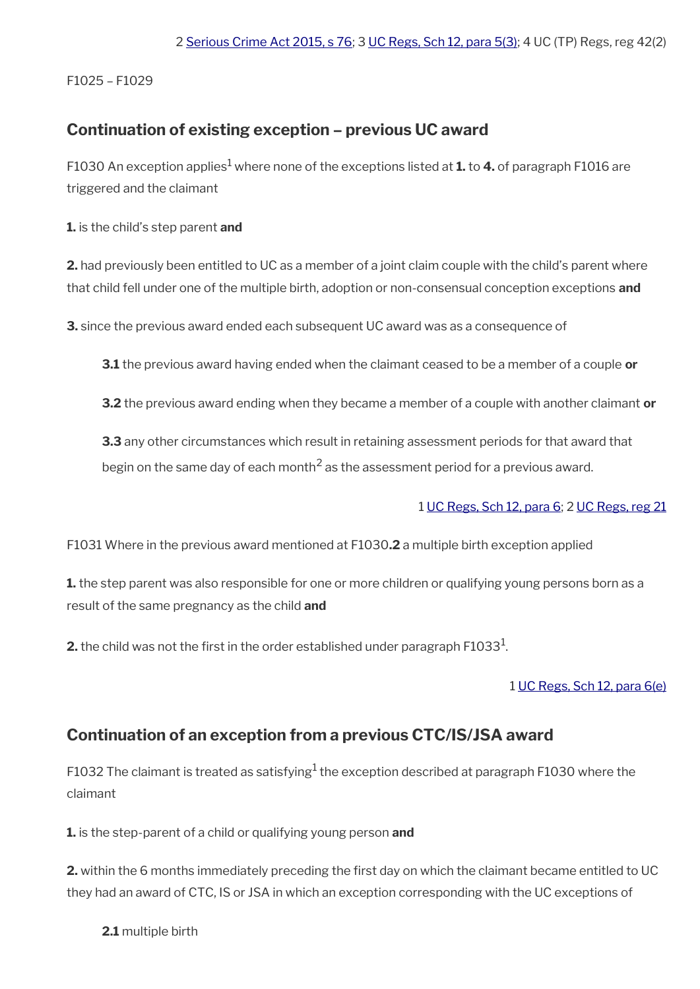F1025 – F1029

# <span id="page-8-1"></span>**Continuation of existing exception – previous UC award**

<code>F1030</code> An exception applies $^1$  where none of the exceptions listed at  $\bf 1.$  to  $\bf 4.$  of paragraph <code>F1016</code> are triggered and the claimant

**1.** is the child's step parent **and**

**2.** had previously been entitled to UC as a member of a joint claim couple with the child's parent where that child fell under one of the multiple birth, adoption or non-consensual conception exceptions **and**

**3.** since the previous award ended each subsequent UC award was as a consequence of

**3.1** the previous award having ended when the claimant ceased to be a member of a couple **or**

**3.2** the previous award ending when they became a member of a couple with another claimant **or**

**3.3** any other circumstances which result in retaining assessment periods for that award that begin on the same day of each month<sup>2</sup> as the assessment period for a previous award.

# 1 [UC Regs, Sch 12, para 6](https://www.legislation.gov.uk/uksi/2013/376/schedule/12); 2 [UC Regs, reg 21](https://www.legislation.gov.uk/uksi/2013/376/regulation/21)

F1031 Where in the previous award mentioned at F1030**.2** a multiple birth exception applied

**1.** the step parent was also responsible for one or more children or qualifying young persons born as a result of the same pregnancy as the child **and**

 $\mathbf 2$ . the child was not the first in the order established under paragraph F1033 $^1$ .

#### 1 [UC Regs, Sch 12, para 6\(e\)](https://www.legislation.gov.uk/uksi/2013/376/schedule/12)

# <span id="page-8-0"></span>**Continuation of an exception from a previous CTC/IS/JSA award**

F1032 The claimant is treated as satisfying $^{\rm 1}$  the exception described at paragraph F1030 where the claimant

**1.** is the step-parent of a child or qualifying young person **and**

**2.** within the 6 months immediately preceding the first day on which the claimant became entitled to UC they had an award of CTC, IS or JSA in which an exception corresponding with the UC exceptions of

**2.1** multiple birth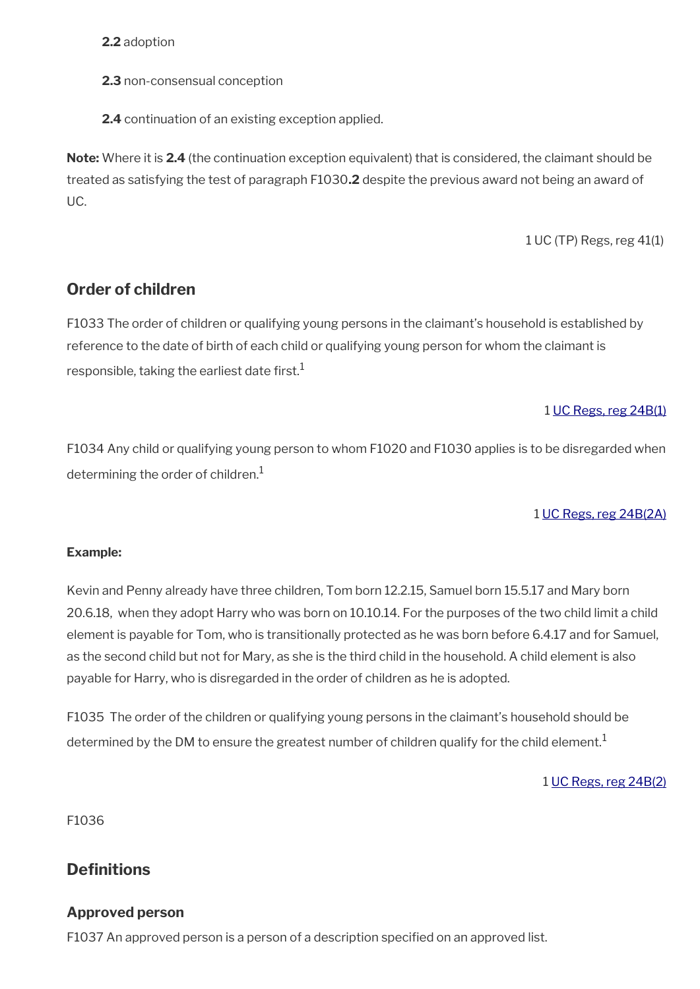**2.2** adoption

**2.3** non-consensual conception

**2.4** continuation of an existing exception applied.

**Note:** Where it is **2.4** (the continuation exception equivalent) that is considered, the claimant should be treated as satisfying the test of paragraph F1030**.2** despite the previous award not being an award of UC.

1 UC (TP) Regs, reg 41(1)

# <span id="page-9-1"></span>**Order of children**

F1033 The order of children or qualifying young persons in the claimant's household is established by reference to the date of birth of each child or qualifying young person for whom the claimant is responsible, taking the earliest date first.<sup>1</sup>

#### 1 [UC Regs, reg 24B\(1\)](https://www.legislation.gov.uk/uksi/2013/376/regulation/24B)

F1034 Any child or qualifying young person to whom F1020 and F1030 applies is to be disregarded when determining the order of children. $1$ 

#### 1 [UC Regs, reg 24B\(2A\)](https://www.legislation.gov.uk/uksi/2013/376/regulation/24B)

#### **Example:**

Kevin and Penny already have three children, Tom born 12.2.15, Samuel born 15.5.17 and Mary born 20.6.18, when they adopt Harry who was born on 10.10.14. For the purposes of the two child limit a child element is payable for Tom, who is transitionally protected as he was born before 6.4.17 and for Samuel, as the second child but not for Mary, as she is the third child in the household. A child element is also payable for Harry, who is disregarded in the order of children as he is adopted.

F1035 The order of the children or qualifying young persons in the claimant's household should be determined by the DM to ensure the greatest number of children qualify for the child element.<sup>1</sup>

1 [UC Regs, reg 24B\(2\)](https://www.legislation.gov.uk/uksi/2013/376/regulation/24B)

F1036

# <span id="page-9-0"></span>**Definitions**

#### **Approved person**

F1037 An approved person is a person of a description specifed on an approved list.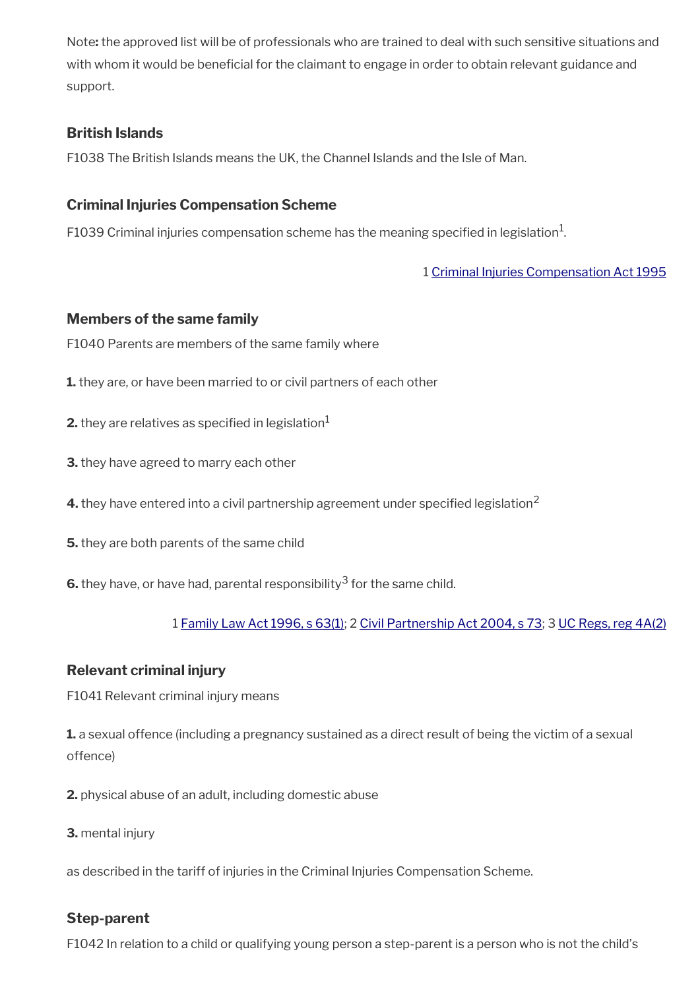Note**:** the approved list will be of professionals who are trained to deal with such sensitive situations and with whom it would be beneficial for the claimant to engage in order to obtain relevant guidance and support.

# **British Islands**

F1038 The British Islands means the UK, the Channel Islands and the Isle of Man.

# **Criminal Injuries Compensation Scheme**

F1039 Criminal injuries compensation scheme has the meaning specified in legislation $^1$ .

# 1 [Criminal Injuries Compensation Act 1995](https://www.legislation.gov.uk/ukpga/1995/53/contents)

### **Members of the same family**

F1040 Parents are members of the same family where

- **1.** they are, or have been married to or civil partners of each other
- **2.** they are relatives as specified in legislation $<sup>1</sup>$ </sup>
- **3.** they have agreed to marry each other
- **4.** they have entered into a civil partnership agreement under specified legislation<sup>2</sup>
- **5.** they are both parents of the same child
- **6.** they have, or have had, parental responsibility $^3$  for the same child.

# 1 [Family Law Act 1996, s 63\(1\);](https://www.legislation.gov.uk/ukpga/1996/27/section/63) 2 [Civil Partnership Act 2004, s 73](https://www.legislation.gov.uk/ukpga/2004/33/section/73); 3 [UC Regs, reg 4A\(2\)](https://www.legislation.gov.uk/uksi/2013/376/regulation/4A)

# **Relevant criminal injury**

F1041 Relevant criminal injury means

**1.** a sexual offence (including a pregnancy sustained as a direct result of being the victim of a sexual offence)

- **2.** physical abuse of an adult, including domestic abuse
- **3.** mental injury

as described in the tariff of injuries in the Criminal Injuries Compensation Scheme.

# **Step-parent**

F1042 In relation to a child or qualifying young person a step-parent is a person who is not the child's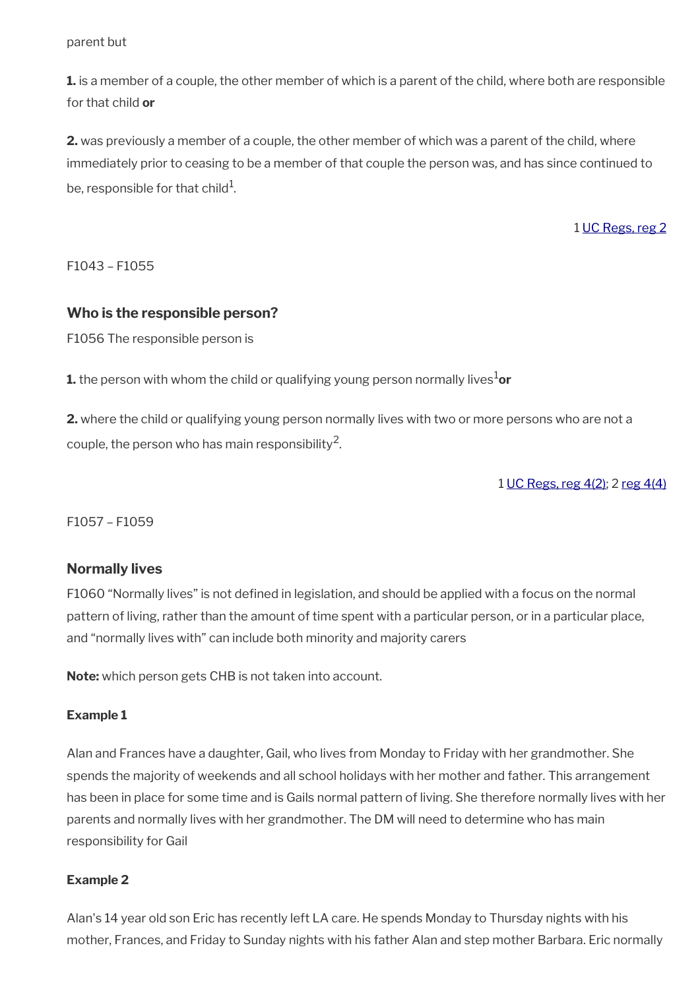parent but

**1.** is a member of a couple, the other member of which is a parent of the child, where both are responsible for that child **or**

**2.** was previously a member of a couple, the other member of which was a parent of the child, where immediately prior to ceasing to be a member of that couple the person was, and has since continued to be, responsible for that child $^{\rm 1}$ .

1 [UC Regs, reg 2](https://www.legislation.gov.uk/uksi/2013/376/regulation/2)

F1043 – F1055

#### **Who is the responsible person?**

F1056 The responsible person is

**1.** the person with whom the child or qualifying young person normally lives<sup>1</sup>or

**2.** where the child or qualifying young person normally lives with two or more persons who are not a couple, the person who has main responsibility $^2$ .

1 [UC Regs, reg 4\(2\);](https://www.legislation.gov.uk/uksi/2013/376/regulation/4) 2 [reg 4\(4\)](https://www.legislation.gov.uk/uksi/2013/376/regulation/4)

F1057 – F1059

#### **Normally lives**

F1060 "Normally lives" is not defned in legislation, and should be applied with a focus on the normal pattern of living, rather than the amount of time spent with a particular person, or in a particular place, and "normally lives with" can include both minority and majority carers

**Note:** which person gets CHB is not taken into account.

#### **Example 1**

Alan and Frances have a daughter, Gail, who lives from Monday to Friday with her grandmother. She spends the majority of weekends and all school holidays with her mother and father. This arrangement has been in place for some time and is Gails normal pattern of living. She therefore normally lives with her parents and normally lives with her grandmother. The DM will need to determine who has main responsibility for Gail

#### **Example 2**

Alan's 14 year old son Eric has recently left LA care. He spends Monday to Thursday nights with his mother, Frances, and Friday to Sunday nights with his father Alan and step mother Barbara. Eric normally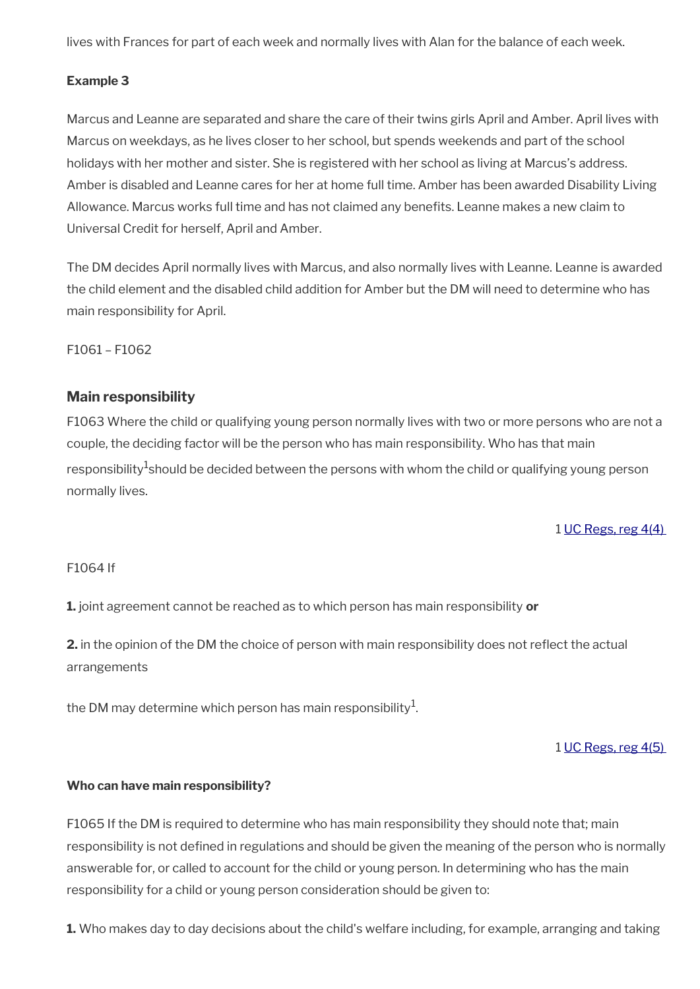lives with Frances for part of each week and normally lives with Alan for the balance of each week.

### **Example 3**

Marcus and Leanne are separated and share the care of their twins girls April and Amber. April lives with Marcus on weekdays, as he lives closer to her school, but spends weekends and part of the school holidays with her mother and sister. She is registered with her school as living at Marcus's address. Amber is disabled and Leanne cares for her at home full time. Amber has been awarded Disability Living Allowance. Marcus works full time and has not claimed any benefts. Leanne makes a new claim to Universal Credit for herself, April and Amber.

The DM decides April normally lives with Marcus, and also normally lives with Leanne. Leanne is awarded the child element and the disabled child addition for Amber but the DM will need to determine who has main responsibility for April.

F1061 – F1062

# **Main responsibility**

F1063 Where the child or qualifying young person normally lives with two or more persons who are not a couple, the deciding factor will be the person who has main responsibility. Who has that main responsibility $^1$ should be decided between the persons with whom the child or qualifying young person normally lives.

1 [UC Regs, reg 4\(4\)](https://www.legislation.gov.uk/uksi/2013/376/regulation/4) 

#### F1064 If

**1.** joint agreement cannot be reached as to which person has main responsibility **or**

**2.** in the opinion of the DM the choice of person with main responsibility does not refect the actual arrangements

the DM may determine which person has main responsibility $^{\mathrm{1}}$ .

1 [UC Regs, reg 4\(5\)](https://www.legislation.gov.uk/uksi/2013/376/regulation/4) 

#### **Who can have main responsibility?**

F1065 If the DM is required to determine who has main responsibility they should note that; main responsibility is not defned in regulations and should be given the meaning of the person who is normally answerable for, or called to account for the child or young person. In determining who has the main responsibility for a child or young person consideration should be given to:

**1.** Who makes day to day decisions about the child's welfare including, for example, arranging and taking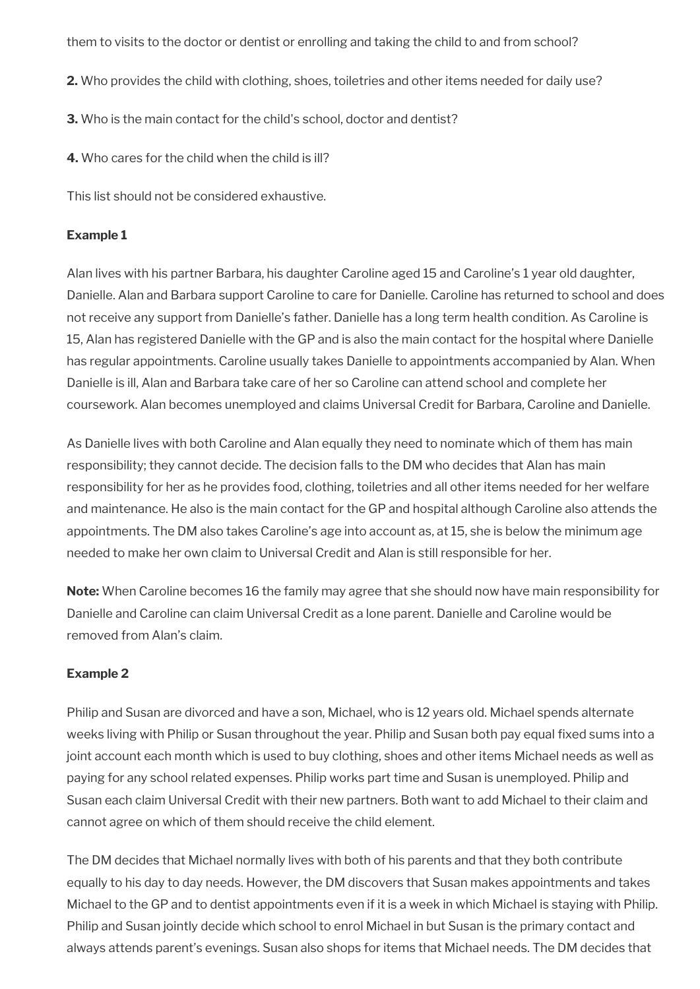them to visits to the doctor or dentist or enrolling and taking the child to and from school?

- **2.** Who provides the child with clothing, shoes, toiletries and other items needed for daily use?
- **3.** Who is the main contact for the child's school, doctor and dentist?

**4.** Who cares for the child when the child is ill?

This list should not be considered exhaustive.

#### **Example 1**

Alan lives with his partner Barbara, his daughter Caroline aged 15 and Caroline's 1 year old daughter, Danielle. Alan and Barbara support Caroline to care for Danielle. Caroline has returned to school and does not receive any support from Danielle's father. Danielle has a long term health condition. As Caroline is 15, Alan has registered Danielle with the GP and is also the main contact for the hospital where Danielle has regular appointments. Caroline usually takes Danielle to appointments accompanied by Alan. When Danielle is ill, Alan and Barbara take care of her so Caroline can attend school and complete her coursework. Alan becomes unemployed and claims Universal Credit for Barbara, Caroline and Danielle.

As Danielle lives with both Caroline and Alan equally they need to nominate which of them has main responsibility; they cannot decide. The decision falls to the DM who decides that Alan has main responsibility for her as he provides food, clothing, toiletries and all other items needed for her welfare and maintenance. He also is the main contact for the GP and hospital although Caroline also attends the appointments. The DM also takes Caroline's age into account as, at 15, she is below the minimum age needed to make her own claim to Universal Credit and Alan is still responsible for her.

**Note:** When Caroline becomes 16 the family may agree that she should now have main responsibility for Danielle and Caroline can claim Universal Credit as a lone parent. Danielle and Caroline would be removed from Alan's claim.

#### **Example 2**

Philip and Susan are divorced and have a son, Michael, who is 12 years old. Michael spends alternate weeks living with Philip or Susan throughout the year. Philip and Susan both pay equal fixed sums into a joint account each month which is used to buy clothing, shoes and other items Michael needs as well as paying for any school related expenses. Philip works part time and Susan is unemployed. Philip and Susan each claim Universal Credit with their new partners. Both want to add Michael to their claim and cannot agree on which of them should receive the child element.

The DM decides that Michael normally lives with both of his parents and that they both contribute equally to his day to day needs. However, the DM discovers that Susan makes appointments and takes Michael to the GP and to dentist appointments even if it is a week in which Michael is staying with Philip. Philip and Susan jointly decide which school to enrol Michael in but Susan is the primary contact and always attends parent's evenings. Susan also shops for items that Michael needs. The DM decides that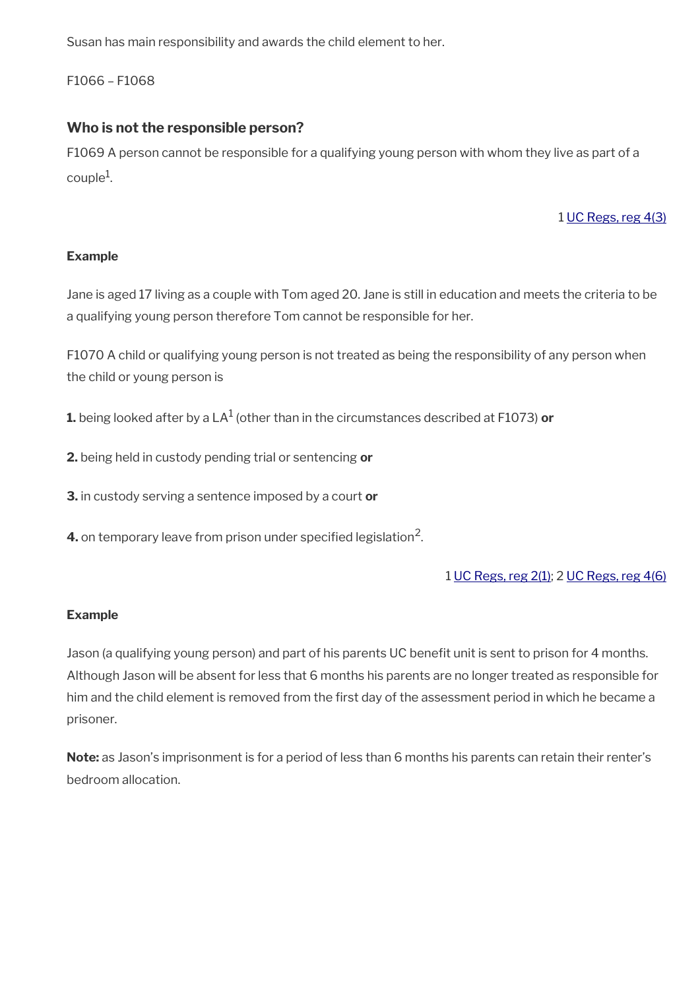Susan has main responsibility and awards the child element to her.

F1066 – F1068

# **Who is not the responsible person?**

F1069 A person cannot be responsible for a qualifying young person with whom they live as part of a  $\text{couple}^1$ .

### 1 [UC Regs, reg 4\(3\)](https://www.legislation.gov.uk/uksi/2013/376/regulation/4)

### **Example**

Jane is aged 17 living as a couple with Tom aged 20. Jane is still in education and meets the criteria to be a qualifying young person therefore Tom cannot be responsible for her.

F1070 A child or qualifying young person is not treated as being the responsibility of any person when the child or young person is

 $\boldsymbol{1}$ . being looked after by a LA $^1$  (other than in the circumstances described at F1073)  $\boldsymbol{\mathsf{or}}$ 

**2.** being held in custody pending trial or sentencing **or** 

**3.** in custody serving a sentence imposed by a court **or** 

**4.** on temporary leave from prison under specified legislation<sup>2</sup>.

1 [UC Regs, reg 2\(1\);](https://www.legislation.gov.uk/uksi/2013/376/regulation/2) 2 [UC Regs, reg 4\(6\)](https://www.legislation.gov.uk/uksi/2013/376/regulation/4)

#### **Example**

Jason (a qualifying young person) and part of his parents UC benefit unit is sent to prison for 4 months. Although Jason will be absent for less that 6 months his parents are no longer treated as responsible for him and the child element is removed from the first day of the assessment period in which he became a prisoner.

**Note:** as Jason's imprisonment is for a period of less than 6 months his parents can retain their renter's bedroom allocation.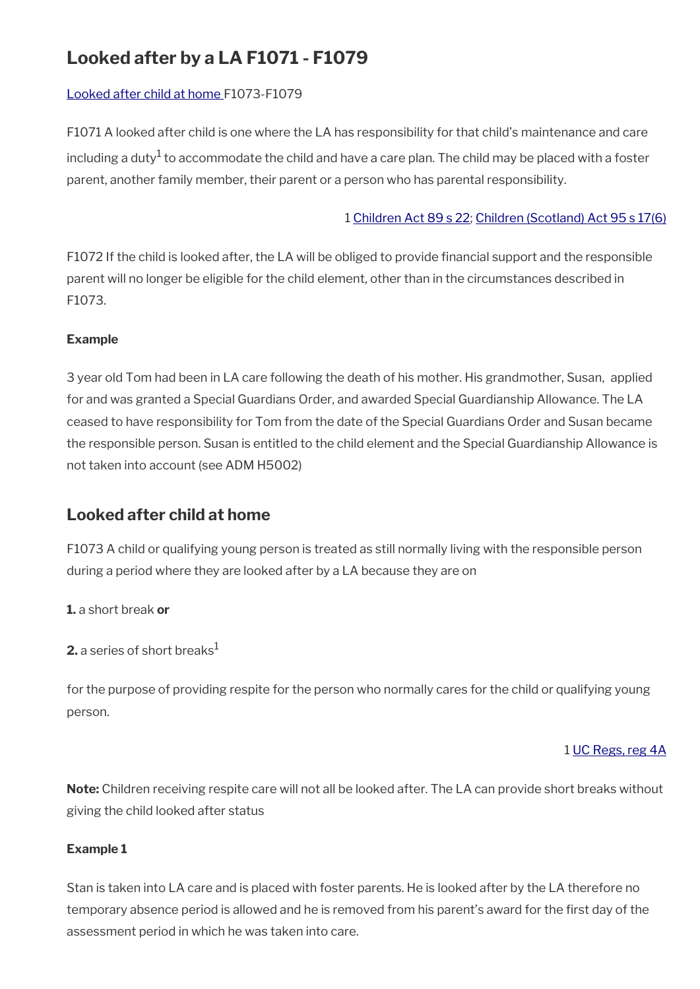# **Looked after by a LA F1071 - F1079**

# [Looked after child at home](#page-15-0) F1073-F1079

F1071 A looked after child is one where the LA has responsibility for that child's maintenance and care including a duty $^1$  to accommodate the child and have a care plan. The child may be placed with a foster parent, another family member, their parent or a person who has parental responsibility.

#### 1 [Children Act 89 s 22;](https://www.legislation.gov.uk/ukpga/1989/41/section/22) [Children \(Scotland\) Act 95 s 17\(6\)](https://www.legislation.gov.uk/ukpga/1995/36/section/17)

F1072 If the child is looked after, the LA will be obliged to provide fnancial support and the responsible parent will no longer be eligible for the child element, other than in the circumstances described in F1073.

#### **Example**

3 year old Tom had been in LA care following the death of his mother. His grandmother, Susan, applied for and was granted a Special Guardians Order, and awarded Special Guardianship Allowance. The LA ceased to have responsibility for Tom from the date of the Special Guardians Order and Susan became the responsible person. Susan is entitled to the child element and the Special Guardianship Allowance is not taken into account (see ADM H5002)

# <span id="page-15-0"></span>**Looked after child at home**

F1073 A child or qualifying young person is treated as still normally living with the responsible person during a period where they are looked after by a LA because they are on

**1.** a short break **or**

**2.** a series of short breaks<sup>1</sup>

for the purpose of providing respite for the person who normally cares for the child or qualifying young person.

#### 1 [UC Regs, reg 4A](https://www.legislation.gov.uk/uksi/2013/376/regulation/4A)

**Note:** Children receiving respite care will not all be looked after. The LA can provide short breaks without giving the child looked after status

#### **Example 1**

Stan is taken into LA care and is placed with foster parents. He is looked after by the LA therefore no temporary absence period is allowed and he is removed from his parent's award for the frst day of the assessment period in which he was taken into care.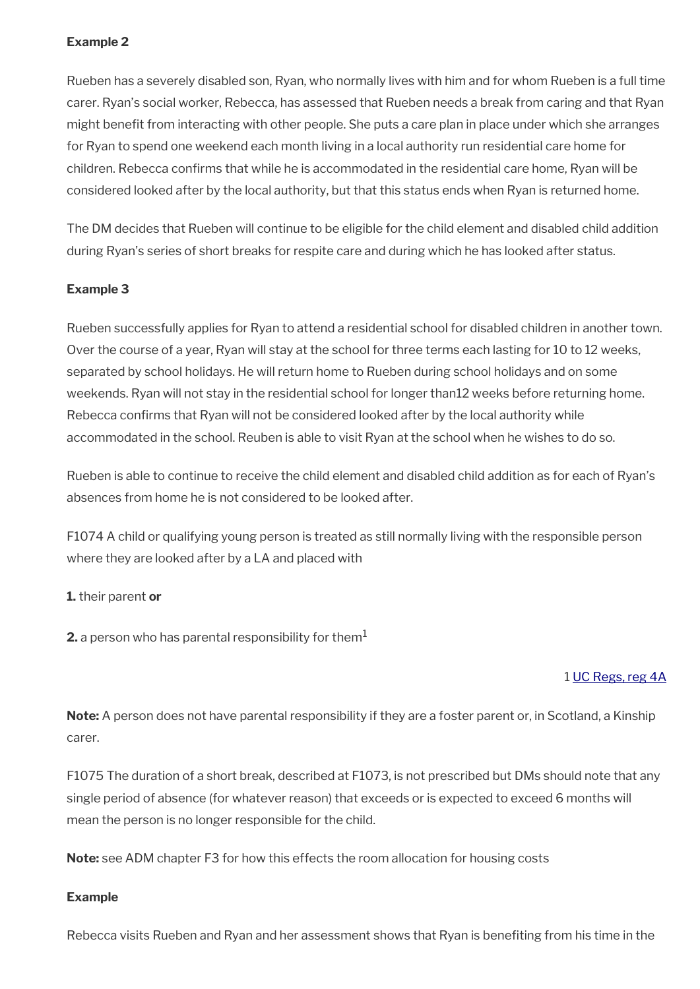### **Example 2**

Rueben has a severely disabled son, Ryan, who normally lives with him and for whom Rueben is a full time carer. Ryan's social worker, Rebecca, has assessed that Rueben needs a break from caring and that Ryan might beneft from interacting with other people. She puts a care plan in place under which she arranges for Ryan to spend one weekend each month living in a local authority run residential care home for children. Rebecca confrms that while he is accommodated in the residential care home, Ryan will be considered looked after by the local authority, but that this status ends when Ryan is returned home.

The DM decides that Rueben will continue to be eligible for the child element and disabled child addition during Ryan's series of short breaks for respite care and during which he has looked after status.

#### **Example 3**

Rueben successfully applies for Ryan to attend a residential school for disabled children in another town. Over the course of a year, Ryan will stay at the school for three terms each lasting for 10 to 12 weeks, separated by school holidays. He will return home to Rueben during school holidays and on some weekends. Ryan will not stay in the residential school for longer than12 weeks before returning home. Rebecca confrms that Ryan will not be considered looked after by the local authority while accommodated in the school. Reuben is able to visit Ryan at the school when he wishes to do so.

Rueben is able to continue to receive the child element and disabled child addition as for each of Ryan's absences from home he is not considered to be looked after.

F1074 A child or qualifying young person is treated as still normally living with the responsible person where they are looked after by a LA and placed with

#### **1.** their parent **or**

**2.** a person who has parental responsibility for them<sup>1</sup>

#### 1 [UC Regs, reg 4A](https://www.legislation.gov.uk/uksi/2013/376/regulation/4A)

**Note:** A person does not have parental responsibility if they are a foster parent or, in Scotland, a Kinship carer.

F1075 The duration of a short break, described at F1073, is not prescribed but DMs should note that any single period of absence (for whatever reason) that exceeds or is expected to exceed 6 months will mean the person is no longer responsible for the child.

**Note:** see ADM chapter F3 for how this effects the room allocation for housing costs

#### **Example**

Rebecca visits Rueben and Ryan and her assessment shows that Ryan is benefting from his time in the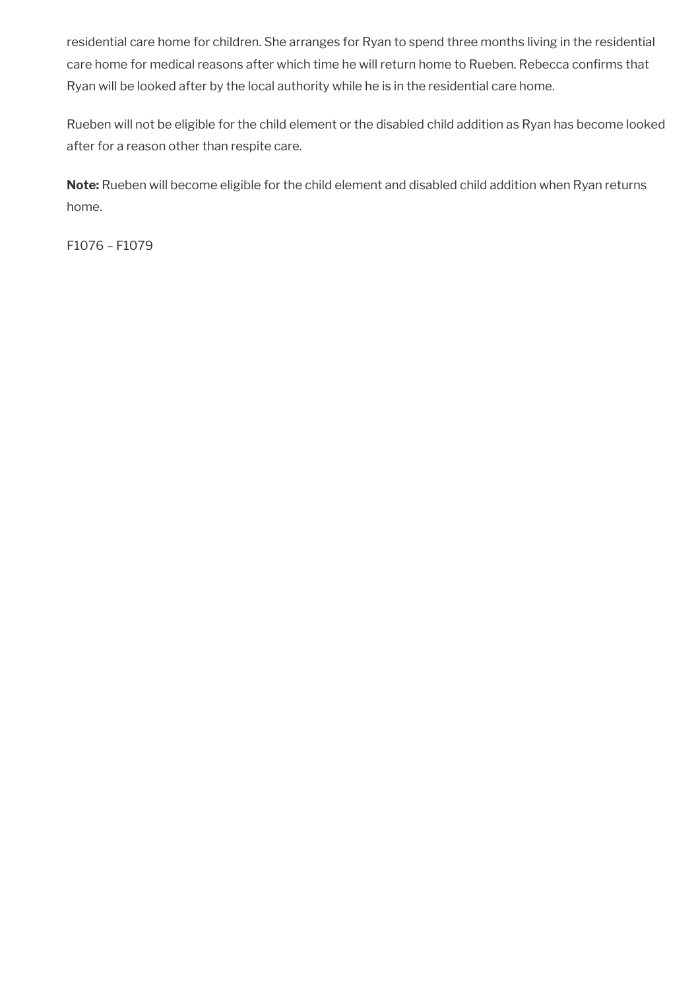residential care home for children. She arranges for Ryan to spend three months living in the residential care home for medical reasons after which time he will return home to Rueben. Rebecca confrms that Ryan will be looked after by the local authority while he is in the residential care home.

Rueben will not be eligible for the child element or the disabled child addition as Ryan has become looked after for a reason other than respite care.

**Note:** Rueben will become eligible for the child element and disabled child addition when Ryan returns home.

F1076 – F1079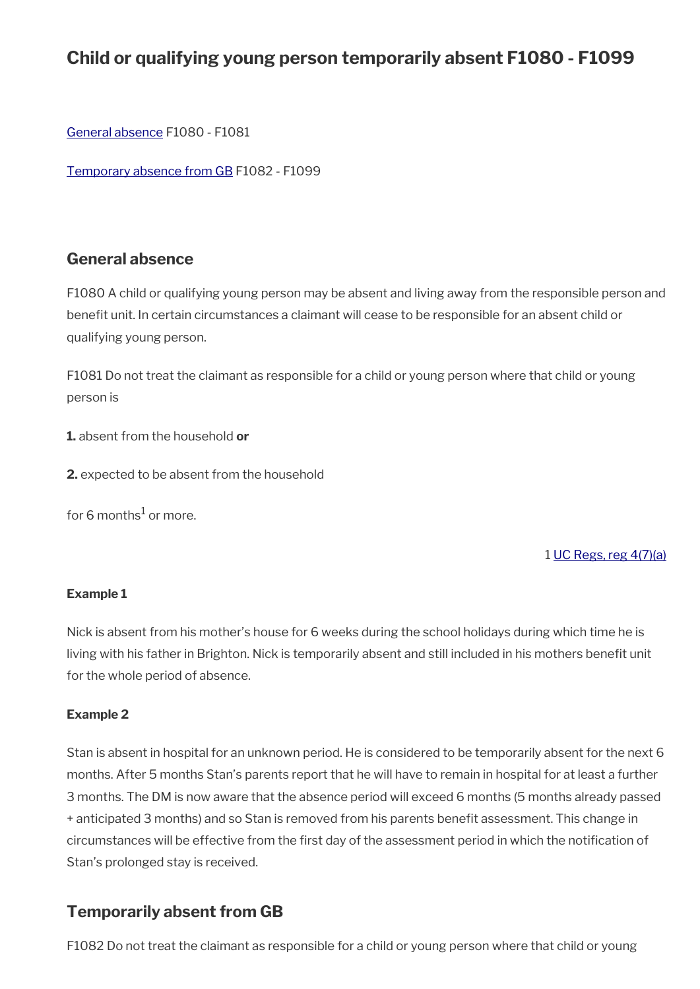# **Child or qualifying young person temporarily absent F1080 - F1099**

[General absence](#page-18-1) F1080 - F1081

[Temporary absence from GB](#page-18-0) F1082 - F1099

# <span id="page-18-1"></span>**General absence**

F1080 A child or qualifying young person may be absent and living away from the responsible person and benefit unit. In certain circumstances a claimant will cease to be responsible for an absent child or qualifying young person.

F1081 Do not treat the claimant as responsible for a child or young person where that child or young person is

**1.** absent from the household **or**

**2.** expected to be absent from the household

for 6 months $^1$  or more.

#### 1 [UC Regs, reg 4\(7\)\(a\)](https://www.legislation.gov.uk/uksi/2013/376/regulation/4)

#### **Example 1**

Nick is absent from his mother's house for 6 weeks during the school holidays during which time he is living with his father in Brighton. Nick is temporarily absent and still included in his mothers beneft unit for the whole period of absence.

#### **Example 2**

Stan is absent in hospital for an unknown period. He is considered to be temporarily absent for the next 6 months. After 5 months Stan's parents report that he will have to remain in hospital for at least a further 3 months. The DM is now aware that the absence period will exceed 6 months (5 months already passed + anticipated 3 months) and so Stan is removed from his parents benefit assessment. This change in circumstances will be effective from the first day of the assessment period in which the notification of Stan's prolonged stay is received.

# <span id="page-18-0"></span>**Temporarily absent from GB**

F1082 Do not treat the claimant as responsible for a child or young person where that child or young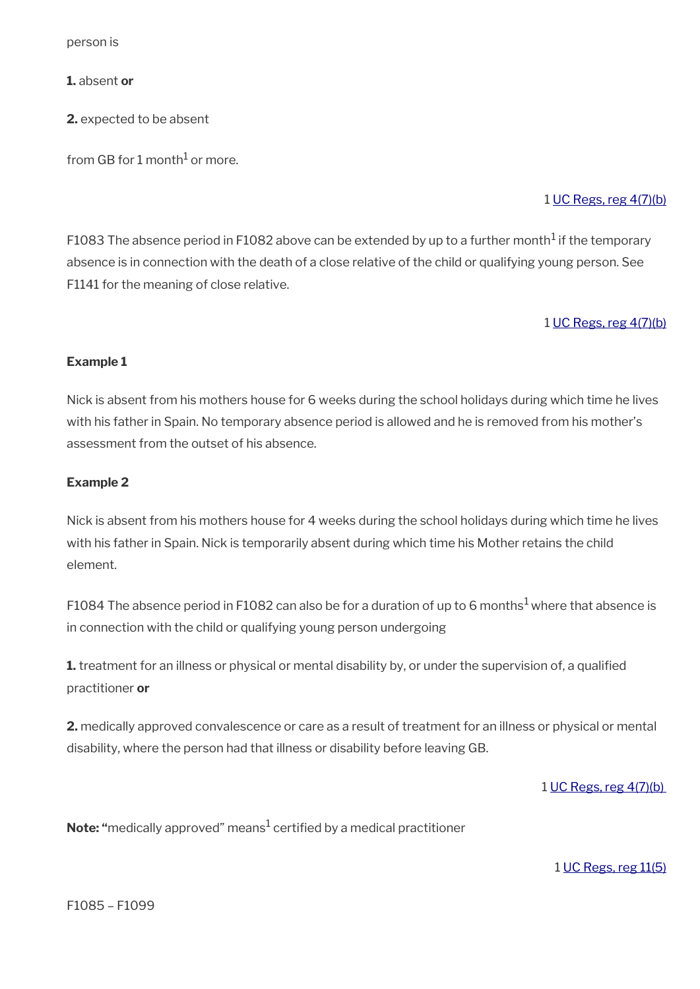person is

**1.** absent **or**

**2.** expected to be absent

from GB for 1 month $^1$  or more.

#### 1 [UC Regs, reg 4\(7\)\(b\)](https://www.legislation.gov.uk/uksi/2013/376/regulation/4)

F1083 The absence period in F1082 above can be extended by up to a further month $^1$  if the temporary absence is in connection with the death of a close relative of the child or qualifying young person. See F1141 for the meaning of close relative.

#### 1 [UC Regs, reg 4\(7\)\(b\)](https://www.legislation.gov.uk/uksi/2013/376/regulation/4)

#### **Example 1**

Nick is absent from his mothers house for 6 weeks during the school holidays during which time he lives with his father in Spain. No temporary absence period is allowed and he is removed from his mother's assessment from the outset of his absence.

#### **Example 2**

Nick is absent from his mothers house for 4 weeks during the school holidays during which time he lives with his father in Spain. Nick is temporarily absent during which time his Mother retains the child element.

F1084 The absence period in F1082 can also be for a duration of up to 6 months<sup>1</sup> where that absence is in connection with the child or qualifying young person undergoing

**1.** treatment for an illness or physical or mental disability by, or under the supervision of, a qualified practitioner **or**

**2.** medically approved convalescence or care as a result of treatment for an illness or physical or mental disability, where the person had that illness or disability before leaving GB.

1 [UC Regs, reg 4\(7\)\(b\)](https://www.legislation.gov.uk/uksi/2013/376/regulation/4) 

**Note: "**medically approved" means<sup>1</sup> certified by a medical practitioner

1 [UC Regs, reg 11\(5\)](https://www.legislation.gov.uk/uksi/2013/376/regulation/11)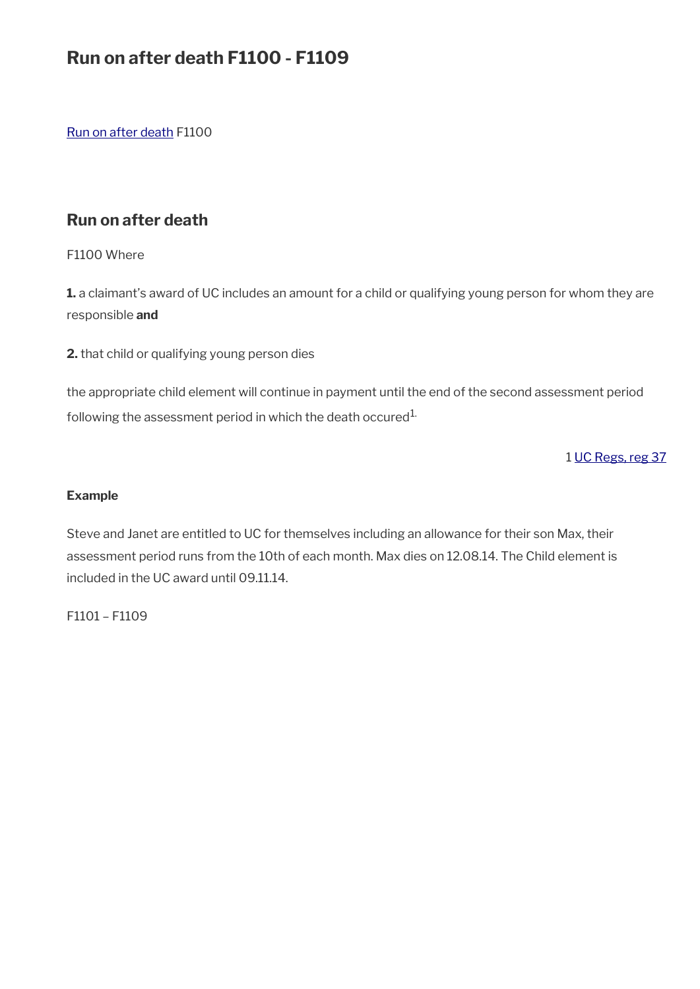# **Run on after death F1100 - F1109**

[Run on after death](#page-20-0) F1100

# <span id="page-20-0"></span>**Run on after death**

F1100 Where

**1.** a claimant's award of UC includes an amount for a child or qualifying young person for whom they are responsible **and** 

**2.** that child or qualifying young person dies

the appropriate child element will continue in payment until the end of the second assessment period following the assessment period in which the death occured<sup>1.</sup>

1 [UC Regs, reg 37](https://www.legislation.gov.uk/uksi/2013/376/regulation/37)

#### **Example**

Steve and Janet are entitled to UC for themselves including an allowance for their son Max, their assessment period runs from the 10th of each month. Max dies on 12.08.14. The Child element is included in the UC award until 09.11.14.

F1101 – F1109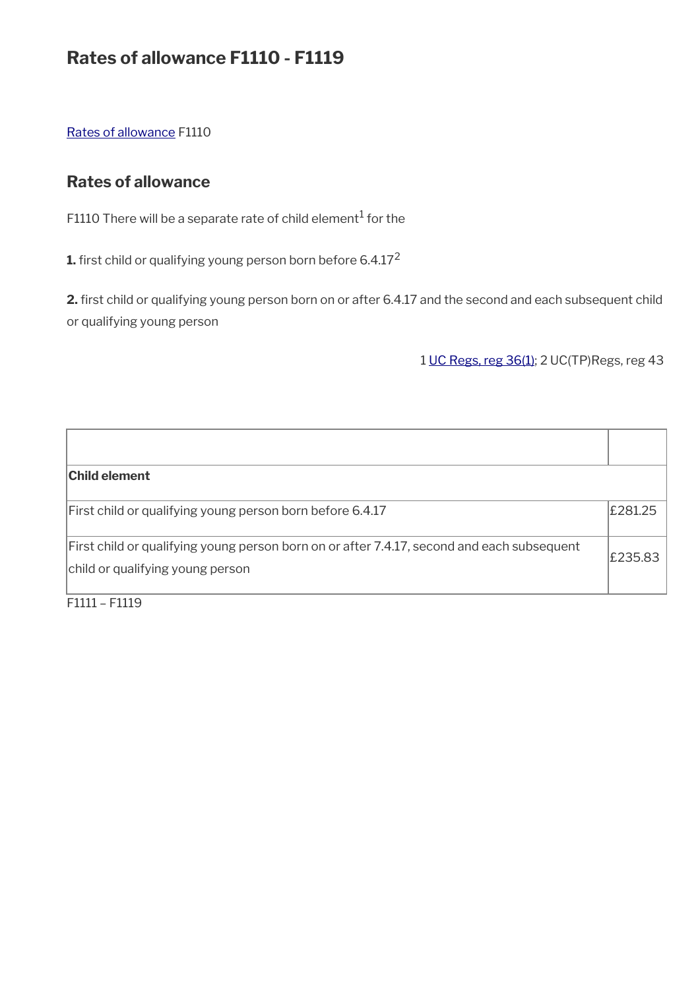# **Rates of allowance F1110 - F1119**

[Rates of allowance](#page-21-0) F1110

# <span id="page-21-0"></span>**Rates of allowance**

F1110 There will be a separate rate of child element $^{\rm 1}$  for the

**1.** first child or qualifying young person born before 6.4.17<sup>2</sup>

2. first child or qualifying young person born on or after 6.4.17 and the second and each subsequent child or qualifying young person

1 [UC Regs, reg 36\(1\);](https://www.legislation.gov.uk/uksi/2013/376/regulation/36) 2 UC(TP)Regs, reg 43

| <b>Child element</b>                                                                                                           |         |
|--------------------------------------------------------------------------------------------------------------------------------|---------|
| First child or qualifying young person born before 6.4.17                                                                      | £281.25 |
| First child or qualifying young person born on or after 7.4.17, second and each subsequent<br>child or qualifying young person | £235.83 |

F1111 – F1119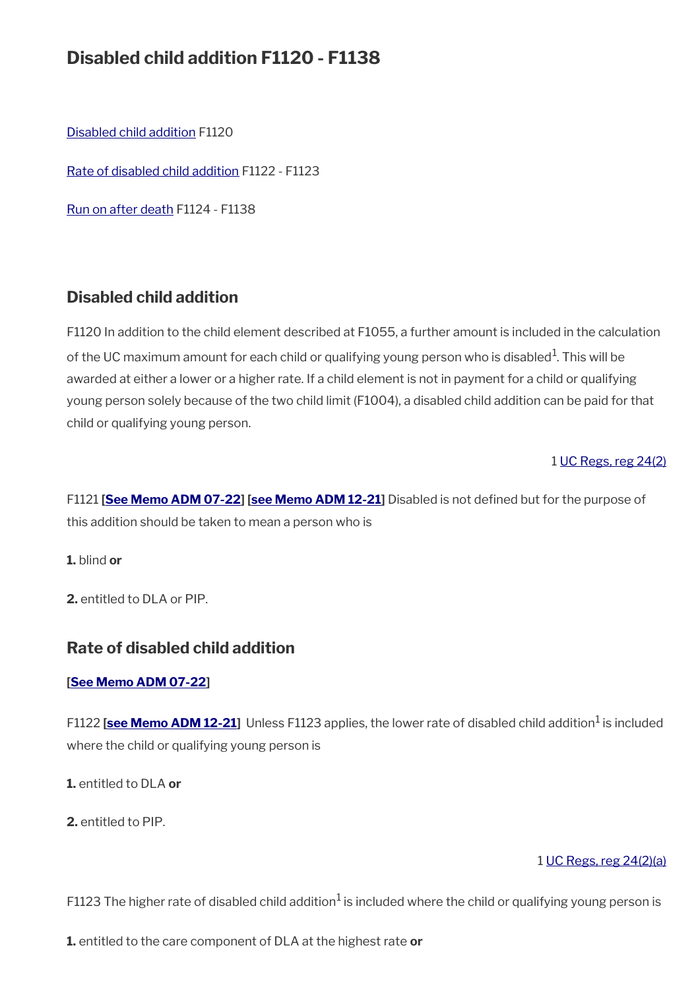# **Disabled child addition F1120 - F1138**

[Disabled child addition](#page-22-1) F1120

[Rate of disabled child addition](#page-22-0) F1122 - F1123

[Run on after death](#page-20-0) F1124 - F1138

# <span id="page-22-1"></span>**Disabled child addition**

F1120 In addition to the child element described at F1055, a further amount is included in the calculation of the UC maximum amount for each child or qualifying young person who is disabled $^1$ . This will be awarded at either a lower or a higher rate. If a child element is not in payment for a child or qualifying young person solely because of the two child limit (F1004), a disabled child addition can be paid for that child or qualifying young person.

#### 1 [UC Regs, reg 24\(2\)](https://www.legislation.gov.uk/uksi/2013/376/regulation/24)

F1121 **[\[See Memo ADM 07-22](https://intranet.dwp.gov.uk/manual/advice-decision-making-adm/07-22-adult-disability-payment-uc-esa-ns-jsa-ns)] [[see Memo ADM 12-21](https://intranet.dwp.gov.uk/manual/advice-decision-making-adm/12-21-disability-assistance-children-and-young-people-consequential-amendments-social-security)]** Disabled is not defned but for the purpose of this addition should be taken to mean a person who is

**1.** blind **or**

**2.** entitled to DLA or PIP.

# <span id="page-22-0"></span>**Rate of disabled child addition**

#### **[\[See Memo ADM 07-22](https://intranet.dwp.gov.uk/manual/advice-decision-making-adm/07-22-adult-disability-payment-uc-esa-ns-jsa-ns)]**

F1122 [\[see Memo ADM 12-21\]](https://intranet.dwp.gov.uk/manual/advice-decision-making-adm/12-21-disability-assistance-children-and-young-people-consequential-amendments-social-security) Unless F1123 applies, the lower rate of disabled child addition<sup>1</sup> is included where the child or qualifying young person is

**1.** entitled to DLA **or**

**2.** entitled to PIP.

#### 1 [UC Regs, reg 24\(2\)\(a\)](https://www.legislation.gov.uk/uksi/2013/376/regulation/24)

F1123 The higher rate of disabled child addition $^1$  is included where the child or qualifying young person is

**1.** entitled to the care component of DLA at the highest rate **or**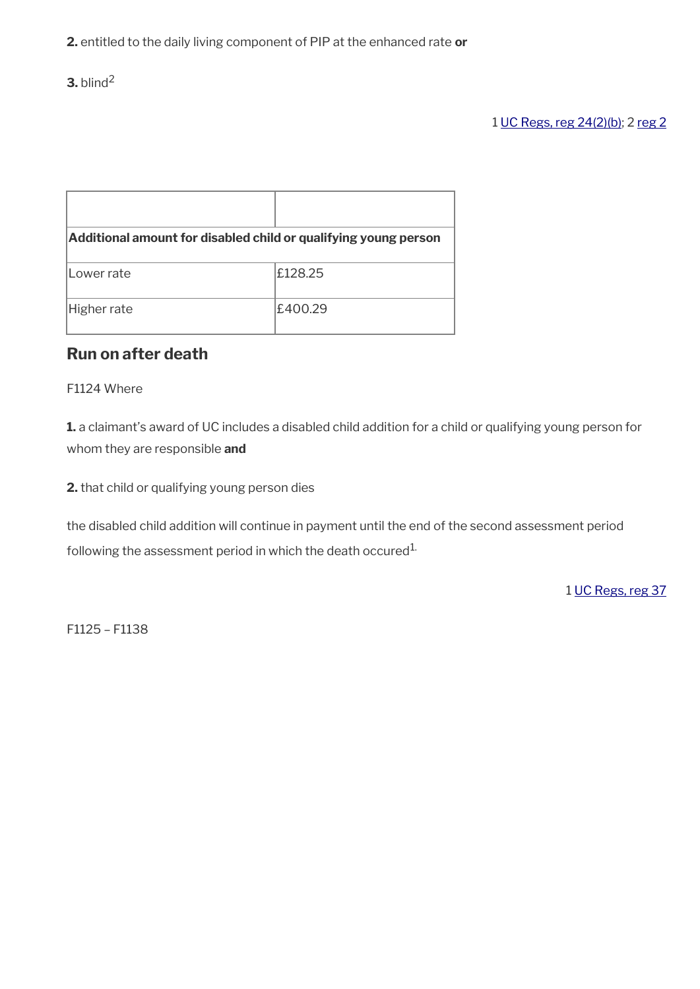**3.** blind<sup>2</sup>

# 1 [UC Regs, reg 24\(2\)\(b\);](https://www.legislation.gov.uk/uksi/2013/376/regulation/24) 2 [reg 2](https://www.legislation.gov.uk/uksi/2013/376/regulation/2)

| Additional amount for disabled child or qualifying young person |         |  |
|-----------------------------------------------------------------|---------|--|
| Lower rate                                                      | £128.25 |  |
| Higher rate                                                     | £400.29 |  |

# **Run on after death**

#### F1124 Where

**1.** a claimant's award of UC includes a disabled child addition for a child or qualifying young person for whom they are responsible **and**

**2.** that child or qualifying young person dies

the disabled child addition will continue in payment until the end of the second assessment period following the assessment period in which the death occured<sup>1.</sup>

1 [UC Regs, reg 37](https://www.legislation.gov.uk/uksi/2013/376/regulation/37)

F1125 – F1138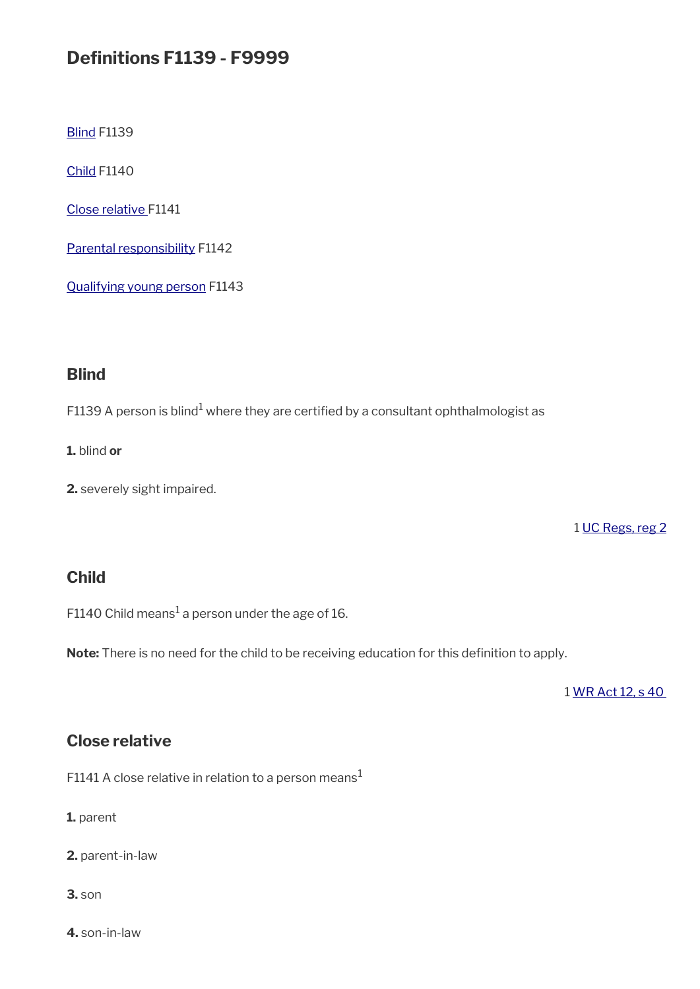# **Definitions F1139 - F9999**

**[Blind](#page-24-2) F1139** 

[Child](#page-24-1) F1140

[Close relative F](#page-24-0)1141

[Parental responsibility](#page-25-1) F1142

[Qualifying young person](#page-25-0) F1143

# <span id="page-24-2"></span>**Blind**

<code>F1139</code> A person is blind $^{\rm 1}$  where they are certified by a consultant ophthalmologist as

**1.** blind **or**

**2.** severely sight impaired.

1 [UC Regs, reg 2](https://www.legislation.gov.uk/uksi/2013/376/regulation/2)

# <span id="page-24-1"></span>**Child**

F1140 Child means $^1$  a person under the age of 16.

Note: There is no need for the child to be receiving education for this definition to apply.

1 [WR Act 12, s 40](https://www.legislation.gov.uk/ukpga/2012/5/section/40) 

# <span id="page-24-0"></span>**Close relative**

F1141 A close relative in relation to a person means<sup>1</sup>

**1.** parent

**2.** parent-in-law

**3.** son

**4.** son-in-law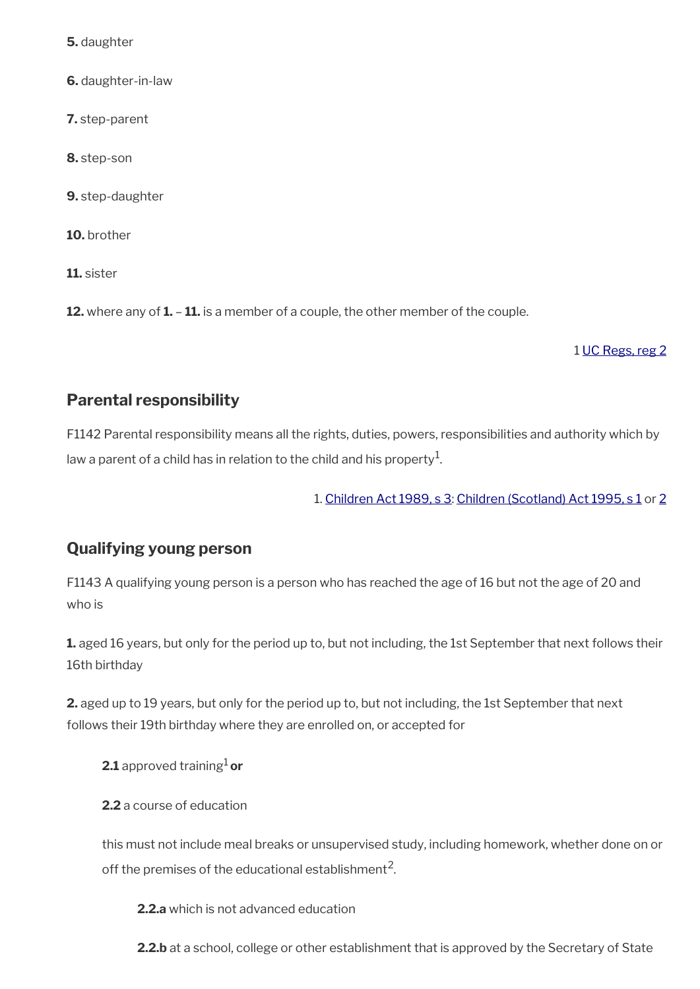**5.** daughter

**6.** daughter-in-law

**7.** step-parent

**8.** step-son

**9.** step-daughter

**10.** brother

**11.** sister

**12.** where any of **1.** – **11.** is a member of a couple, the other member of the couple.

#### 1 [UC Regs, reg 2](https://www.legislation.gov.uk/uksi/2013/376/regulation/2)

# <span id="page-25-1"></span>**Parental responsibility**

F1142 Parental responsibility means all the rights, duties, powers, responsibilities and authority which by law a parent of a child has in relation to the child and his property $^{\mathrm{1}}$ .

1. [Children Act 1989, s 3](https://www.legislation.gov.uk/ukpga/1989/41/section/3): [Children \(Scotland\) Act 1995, s 1](https://www.legislation.gov.uk/ukpga/1995/36/section/1) or [2](https://www.legislation.gov.uk/ukpga/1995/36/section/2)

# <span id="page-25-0"></span>**Qualifying young person**

F1143 A qualifying young person is a person who has reached the age of 16 but not the age of 20 and who is

**1.** aged 16 years, but only for the period up to, but not including, the 1st September that next follows their 16th birthday

**2.** aged up to 19 years, but only for the period up to, but not including, the 1st September that next follows their 19th birthday where they are enrolled on, or accepted for

**2.1** approved training<sup>1</sup> or

**2.2** a course of education

this must not include meal breaks or unsupervised study, including homework, whether done on or off the premises of the educational establishment $^{\mathsf{2}}$ .

**2.2.a** which is not advanced education

2.2.b at a school, college or other establishment that is approved by the Secretary of State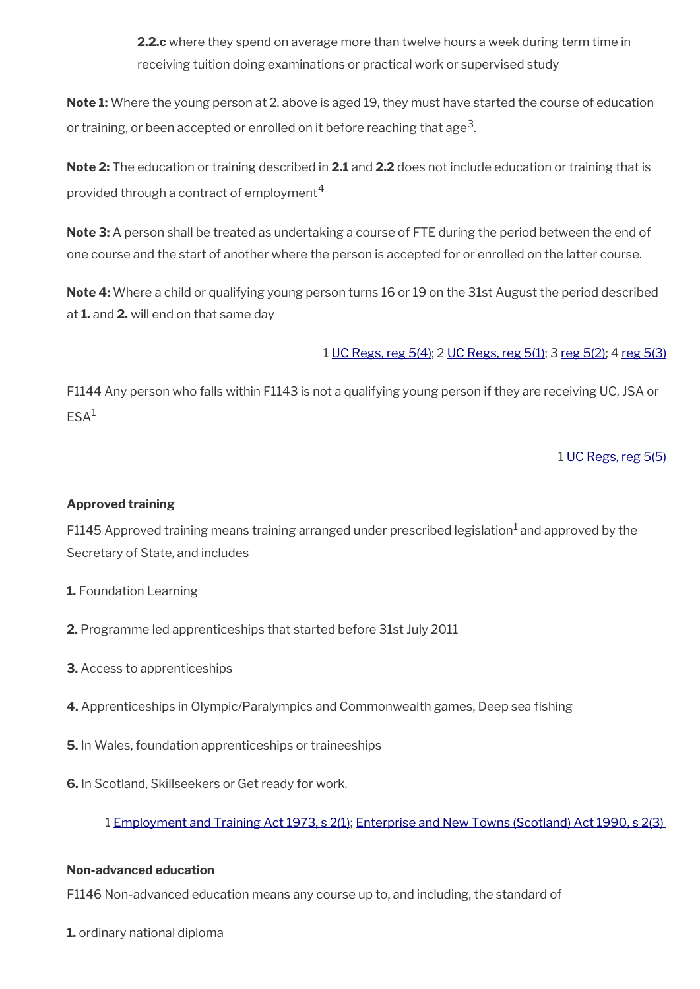**2.2.c** where they spend on average more than twelve hours a week during term time in receiving tuition doing examinations or practical work or supervised study

**Note 1:** Where the young person at 2. above is aged 19, they must have started the course of education or training, or been accepted or enrolled on it before reaching that age $^3$ .

**Note 2:** The education or training described in **2.1** and **2.2** does not include education or training that is provided through a contract of employment<sup>4</sup>

**Note 3:** A person shall be treated as undertaking a course of FTE during the period between the end of one course and the start of another where the person is accepted for or enrolled on the latter course.

**Note 4:** Where a child or qualifying young person turns 16 or 19 on the 31st August the period described at **1.** and **2.** will end on that same day

1 [UC Regs, reg 5\(4\)](https://www.legislation.gov.uk/uksi/2013/376/regulation/5); 2 [UC Regs, reg 5\(1\);](https://www.legislation.gov.uk/uksi/2013/376/regulation/5) 3 [reg 5\(2\)](https://www.legislation.gov.uk/uksi/2013/376/regulation/5); 4 [reg 5\(3\)](https://www.legislation.gov.uk/uksi/2013/376/regulation/5)

F1144 Any person who falls within F1143 is not a qualifying young person if they are receiving UC, JSA or  $FSA<sup>1</sup>$ 

1 [UC Regs, reg 5\(5\)](https://www.legislation.gov.uk/uksi/2013/376/regulation/5)

#### **Approved training**

F1145 Approved training means training arranged under prescribed legislation<sup>1</sup> and approved by the Secretary of State, and includes

- **1.** Foundation Learning
- **2.** Programme led apprenticeships that started before 31st July 2011
- **3.** Access to apprenticeships
- **4.** Apprenticeships in Olympic/Paralympics and Commonwealth games, Deep sea fshing
- **5.** In Wales, foundation apprenticeships or traineeships
- **6.** In Scotland, Skillseekers or Get ready for work.

1 [Employment and Training Act 1973, s 2\(1\)](https://www.legislation.gov.uk/ukpga/1973/50/section/2); [Enterprise and New Towns \(Scotland\) Act 1990, s 2\(3\)](https://www.legislation.gov.uk/ukpga/1990/35/section/2) 

#### **Non-advanced education**

F1146 Non-advanced education means any course up to, and including, the standard of

**1.** ordinary national diploma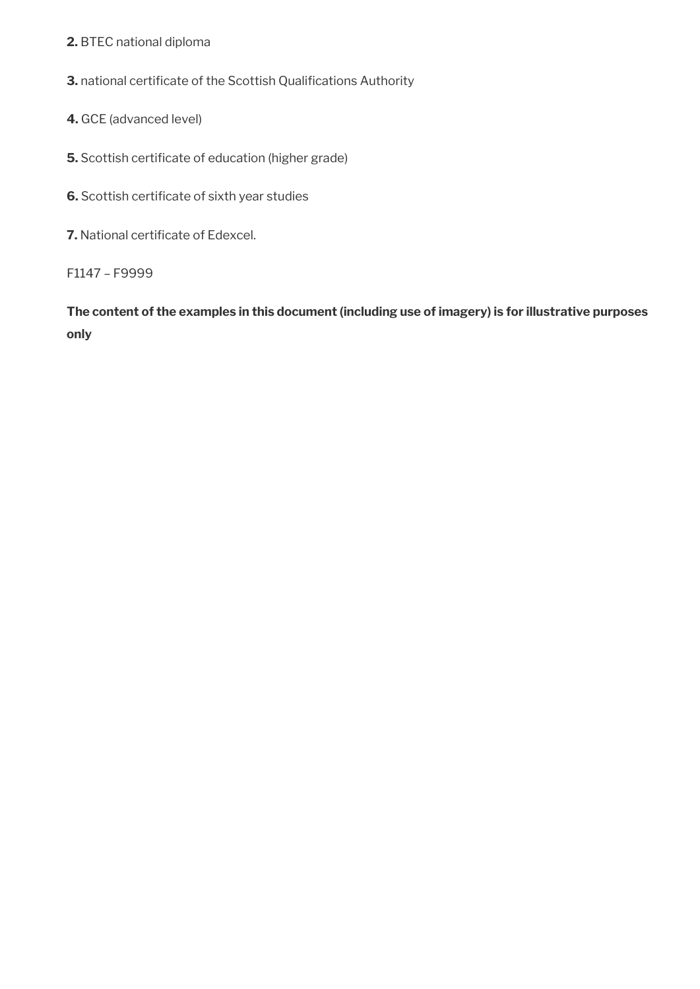### **2.** BTEC national diploma

**3.** national certificate of the Scottish Qualifications Authority

- **4.** GCE (advanced level)
- **5.** Scottish certificate of education (higher grade)
- **6.** Scottish certificate of sixth year studies
- **7.** National certificate of Edexcel.
- F1147 F9999

**The content of the examples in this document (including use of imagery) is for illustrative purposes only**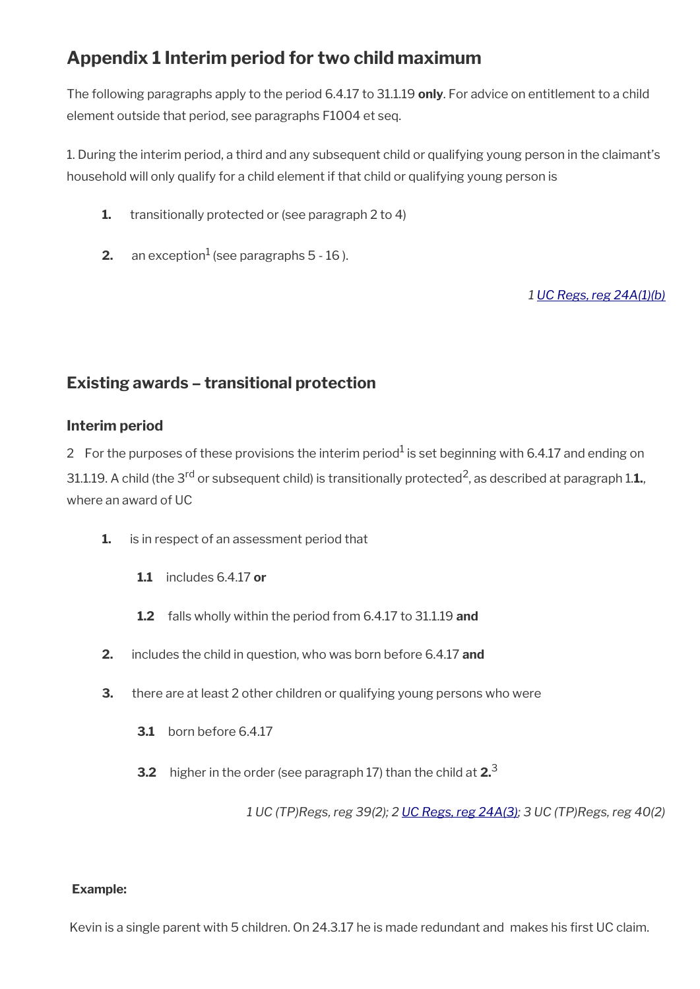# **Appendix 1 Interim period for two child maximum**

The following paragraphs apply to the period 6.4.17 to 31.1.19 **only**. For advice on entitlement to a child element outside that period, see paragraphs F1004 et seq.

1. During the interim period, a third and any subsequent child or qualifying young person in the claimant's household will only qualify for a child element if that child or qualifying young person is

- **1.** transitionally protected or (see paragraph 2 to 4)
- **2.** an exception $^1$  (see paragraphs 5 16 ).

*1 [UC Regs, reg 24A\(1\)\(b\)](https://www.legislation.gov.uk/uksi/2013/376/regulation/24A)*

# **Existing awards – transitional protection**

# **Interim period**

2 For the purposes of these provisions the interim period $^1$  is set beginning with 6.4.17 and ending on

31.1.19. A child (the 3<sup>rd</sup> or subsequent child) is transitionally protected<sup>2</sup>, as described at paragraph 1.**1.**, where an award of UC

- **1.** is in respect of an assessment period that
	- **1.1** includes 6.4.17 **or**
	- **1.2** falls wholly within the period from 6.4.17 to 31.1.19 **and**
- **2.** includes the child in question, who was born before 6.4.17 **and**
- **3.** there are at least 2 other children or qualifying young persons who were
	- **3.1** born before 6.4.17
	- **3.2** higher in the order (see paragraph 17) than the child at **2.**<sup>3</sup>

*1 UC (TP)Regs, reg 39(2); 2 [UC Regs, reg 24A\(3\);](https://www.legislation.gov.uk/uksi/2013/376/regulation/24A) 3 UC (TP)Regs, reg 40(2)*

#### **Example:**

Kevin is a single parent with 5 children. On 24.3.17 he is made redundant and makes his first UC claim.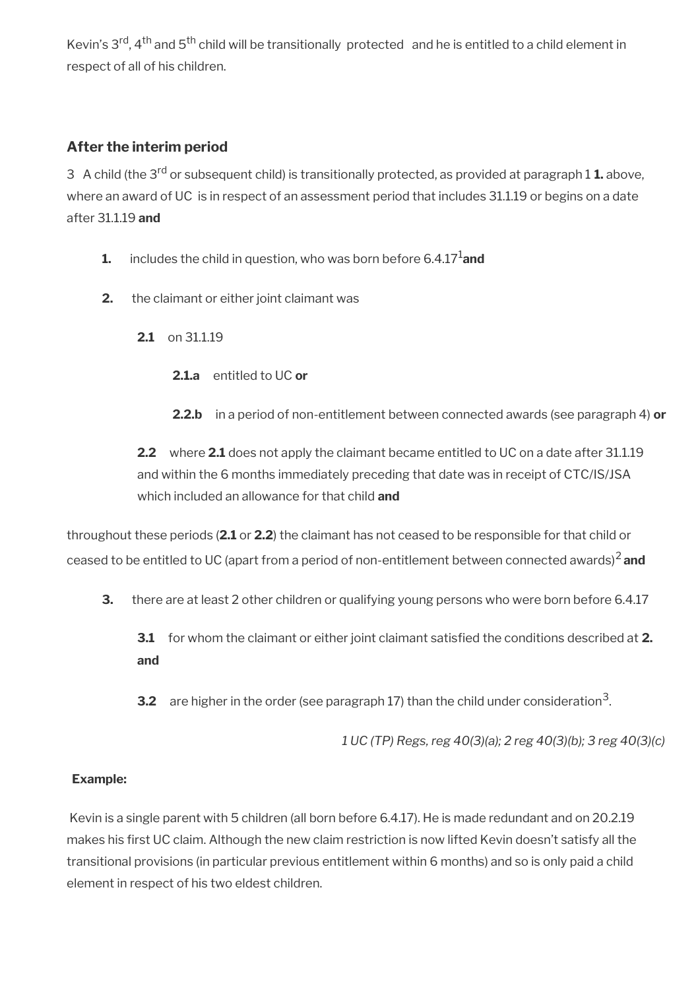Kevin's 3<sup>rd</sup>, 4<sup>th</sup> and 5<sup>th</sup> child will be transitionally protected and he is entitled to a child element in respect of all of his children.

# **After the interim period**

3 A child (the 3rd or subsequent child) is transitionally protected, as provided at paragraph 1 **1.** above, where an award of UC is in respect of an assessment period that includes 31.1.19 or begins on a date after 31.1.19 **and**

- **1.** includes the child in question, who was born before 6.4.17<sup>1</sup> and
- **2.** the claimant or either joint claimant was
	- **2.1** on 31.1.19
		- **2.1.a** entitled to UC **or**
		- **2.2.b** in a period of non-entitlement between connected awards (see paragraph 4) **or**

**2.2** where **2.1** does not apply the claimant became entitled to UC on a date after 31.1.19 and within the 6 months immediately preceding that date was in receipt of CTC/IS/JSA which included an allowance for that child **and**

throughout these periods (**2.1** or **2.2**) the claimant has not ceased to be responsible for that child or ceased to be entitled to UC (apart from a period of non-entitlement between connected awards)2 **and**

**3.** there are at least 2 other children or qualifying young persons who were born before 6.4.17

**3.1** for whom the claimant or either joint claimant satisfed the conditions described at **2. and** 

**3.2** are higher in the order (see paragraph 17) than the child under consideration<sup>3</sup>.

*1 UC (TP) Regs, reg 40(3)(a); 2 reg 40(3)(b); 3 reg 40(3)(c)*

# **Example:**

Kevin is a single parent with 5 children (all born before 6.4.17). He is made redundant and on 20.2.19 makes his first UC claim. Although the new claim restriction is now lifted Kevin doesn't satisfy all the transitional provisions (in particular previous entitlement within 6 months) and so is only paid a child element in respect of his two eldest children.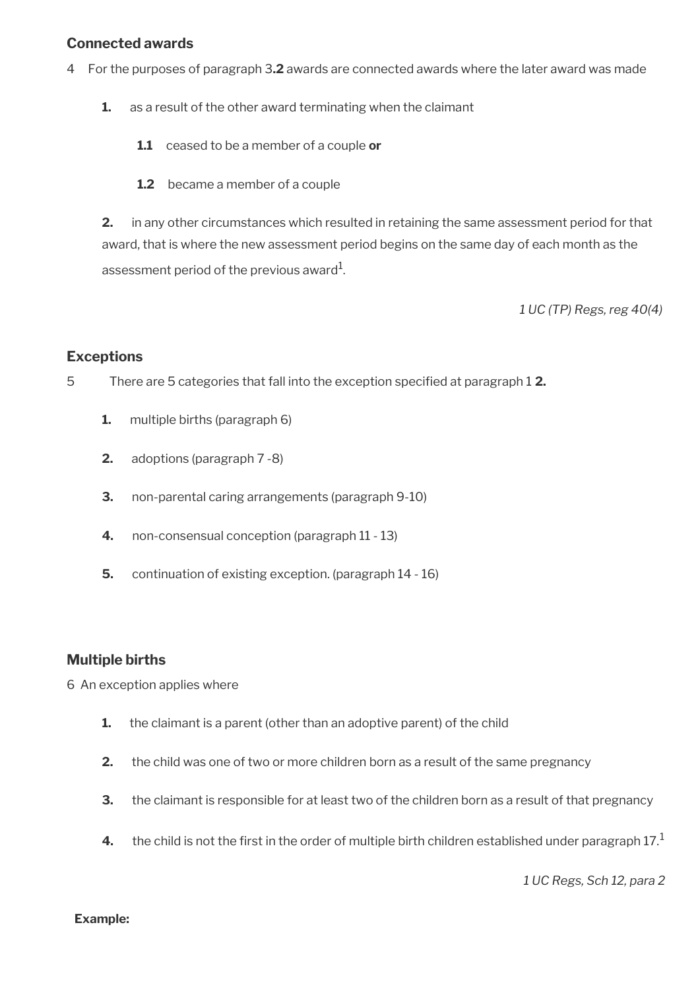#### **Connected awards**

- 4 For the purposes of paragraph 3**.2** awards are connected awards where the later award was made
	- **1.** as a result of the other award terminating when the claimant
		- **1.1** ceased to be a member of a couple **or**
		- **1.2** became a member of a couple

**2.** in any other circumstances which resulted in retaining the same assessment period for that award, that is where the new assessment period begins on the same day of each month as the assessment period of the previous award $^1\!$ 

*1 UC (TP) Regs, reg 40(4)* 

#### **Exceptions**

5 There are 5 categories that fall into the exception specifed at paragraph 1 **2.**

- **1.** multiple births (paragraph 6)
- **2.** adoptions (paragraph 7 -8)
- **3.** non-parental caring arrangements (paragraph 9-10)
- **4.** non-consensual conception (paragraph 11 13)
- **5.** continuation of existing exception. (paragraph 14 16)

#### **Multiple births**

6 An exception applies where

- **1.** the claimant is a parent (other than an adoptive parent) of the child
- **2.** the child was one of two or more children born as a result of the same pregnancy
- **3.** the claimant is responsible for at least two of the children born as a result of that pregnancy
- **4.** the child is not the first in the order of multiple birth children established under paragraph  $17<sup>1</sup>$

*1 UC Regs, Sch 12, para 2*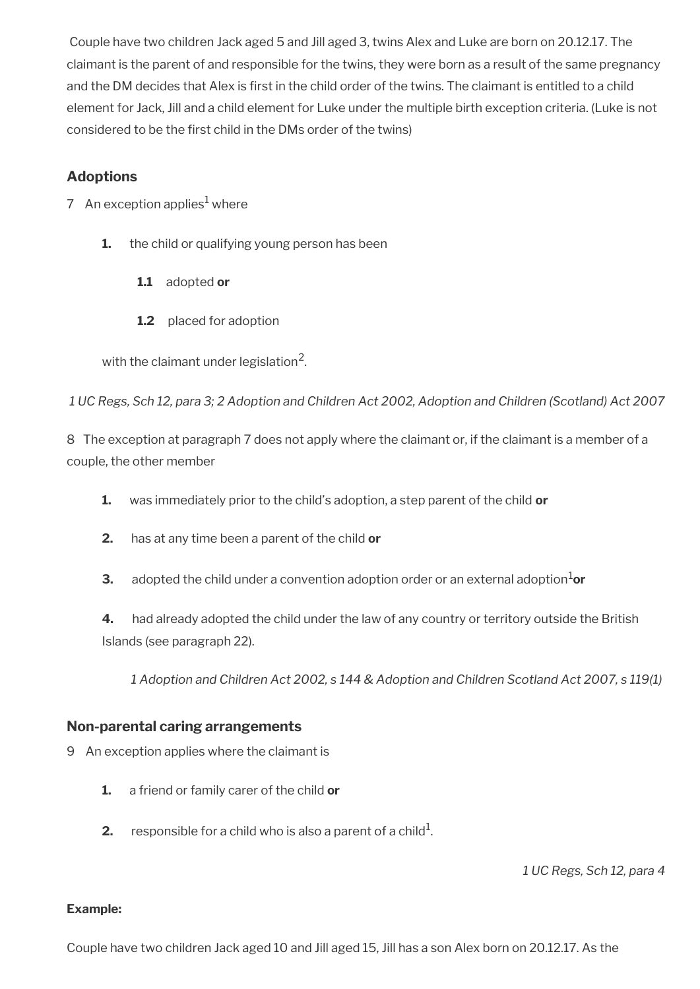Couple have two children Jack aged 5 and Jill aged 3, twins Alex and Luke are born on 20.12.17. The claimant is the parent of and responsible for the twins, they were born as a result of the same pregnancy and the DM decides that Alex is frst in the child order of the twins. The claimant is entitled to a child element for Jack, Jill and a child element for Luke under the multiple birth exception criteria. (Luke is not considered to be the first child in the DMs order of the twins)

# **Adoptions**

- 7 An exception applies $^1$  where
	- **1.** the child or qualifying young person has been
		- **1.1** adopted **or**
		- **1.2** placed for adoption

with the claimant under legislation $^2$ .

*1 UC Regs, Sch 12, para 3; 2 Adoption and Children Act 2002, Adoption and Children (Scotland) Act 2007*

8 The exception at paragraph 7 does not apply where the claimant or, if the claimant is a member of a couple, the other member

- **1.** was immediately prior to the child's adoption, a step parent of the child **or**
- **2.** has at any time been a parent of the child **or**
- **3.** adopted the child under a convention adoption order or an external adoption<sup>1</sup>or

**4.** had already adopted the child under the law of any country or territory outside the British Islands (see paragraph 22).

*1 Adoption and Children Act 2002, s 144 & Adoption and Children Scotland Act 2007, s 119(1)* 

# **Non-parental caring arrangements**

- 9 An exception applies where the claimant is
	- **1.** a friend or family carer of the child **or**
	- **2.**  $\,$  responsible for a child who is also a parent of a child $^1$ .

*1 UC Regs, Sch 12, para 4*

#### **Example:**

Couple have two children Jack aged 10 and Jill aged 15, Jill has a son Alex born on 20.12.17. As the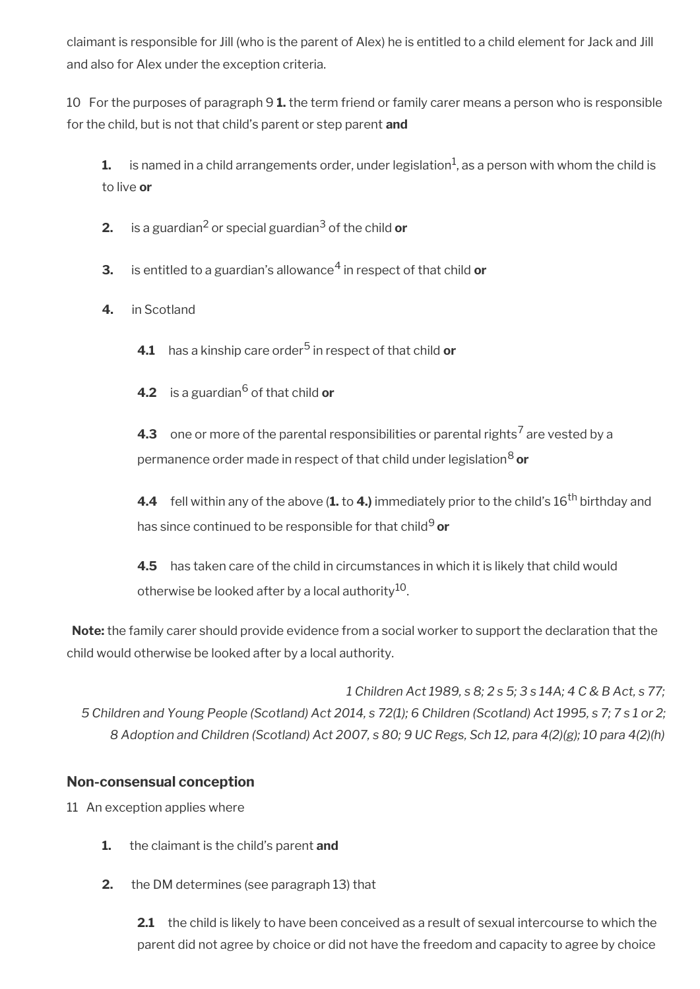claimant is responsible for Jill (who is the parent of Alex) he is entitled to a child element for Jack and Jill and also for Alex under the exception criteria.

10 For the purposes of paragraph 9 **1.** the term friend or family carer means a person who is responsible for the child, but is not that child's parent or step parent **and**

 ${\bf 1.} \quad$  is named in a child arrangements order, under legislation $^1$ , as a person with whom the child is to live **or**

**2.** is a guardian<sup>2</sup> or special guardian<sup>3</sup> of the child **or** 

 $\mathbf 3. \quad$  is entitled to a guardian's allowance $^4$  in respect of that child  $\mathbf 0$ r

**4.** in Scotland

**4.1** has a kinship care order<sup>5</sup> in respect of that child **or** 

**4.2** is a guardian<sup>6</sup> of that child **or** 

**4.3** one or more of the parental responsibilities or parental rights<sup>7</sup> are vested by a permanence order made in respect of that child under legislation8 **or**

**4.4** fell within any of the above (1. to 4.) immediately prior to the child's 16<sup>th</sup> birthday and has since continued to be responsible for that child<sup>9</sup> or

**4.5** has taken care of the child in circumstances in which it is likely that child would otherwise be looked after by a local authority<sup>10</sup>.

**Note:** the family carer should provide evidence from a social worker to support the declaration that the child would otherwise be looked after by a local authority.

*1 Children Act 1989, s 8; 2 s 5; 3 s 14A; 4 C & B Act, s 77; 5 Children and Young People (Scotland) Act 2014, s 72(1); 6 Children (Scotland) Act 1995, s 7; 7 s 1 or 2; 8 Adoption and Children (Scotland) Act 2007, s 80; 9 UC Regs, Sch 12, para 4(2)(g); 10 para 4(2)(h)*

# **Non-consensual conception**

11 An exception applies where

- **1.** the claimant is the child's parent **and**
- **2.** the DM determines (see paragraph 13) that

**2.1** the child is likely to have been conceived as a result of sexual intercourse to which the parent did not agree by choice or did not have the freedom and capacity to agree by choice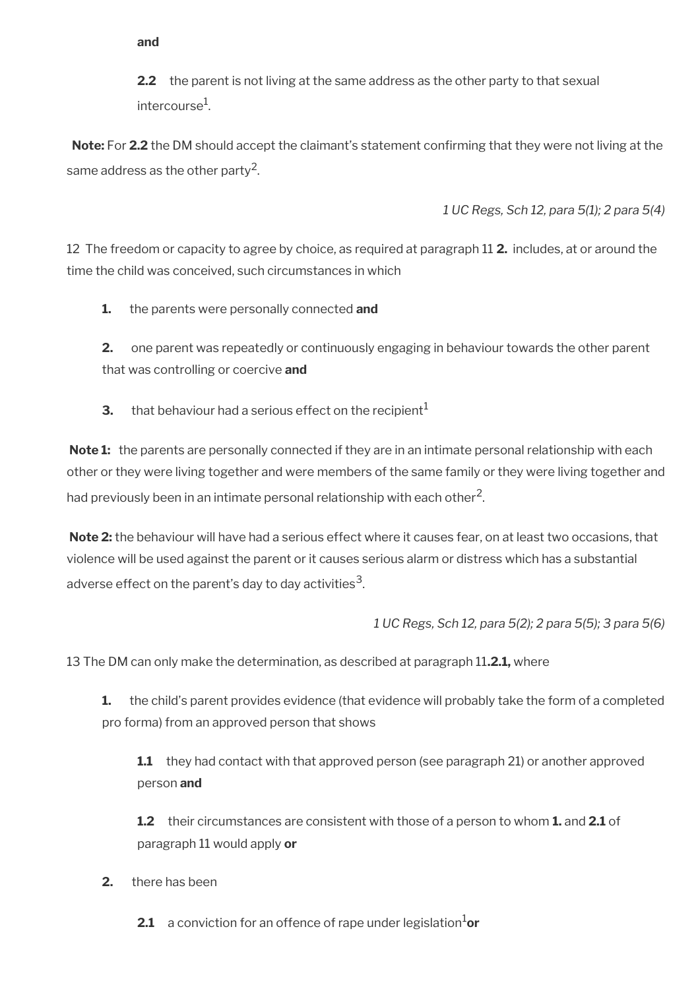**and**

**2.2** the parent is not living at the same address as the other party to that sexual intercourse $^{\rm 1}$ .

**Note:** For **2.2** the DM should accept the claimant's statement confrming that they were not living at the same address as the other party<sup>2</sup>.

*1 UC Regs, Sch 12, para 5(1); 2 para 5(4)*

12 The freedom or capacity to agree by choice, as required at paragraph 11 **2.** includes, at or around the time the child was conceived, such circumstances in which

**1.** the parents were personally connected **and**

**2.** one parent was repeatedly or continuously engaging in behaviour towards the other parent that was controlling or coercive **and**

**3.** that behaviour had a serious effect on the recipient<sup>1</sup>

**Note 1:** the parents are personally connected if they are in an intimate personal relationship with each other or they were living together and were members of the same family or they were living together and had previously been in an intimate personal relationship with each other $^{\mathsf{2}}$ .

**Note 2:** the behaviour will have had a serious effect where it causes fear, on at least two occasions, that violence will be used against the parent or it causes serious alarm or distress which has a substantial adverse effect on the parent's day to day activities $^{\mathsf{3}}$ .

*1 UC Regs, Sch 12, para 5(2); 2 para 5(5); 3 para 5(6)*

13 The DM can only make the determination, as described at paragraph 11**.2.1,** where

**1.** the child's parent provides evidence (that evidence will probably take the form of a completed pro forma) from an approved person that shows

**1.1** they had contact with that approved person (see paragraph 21) or another approved person **and**

**1.2** their circumstances are consistent with those of a person to whom **1.** and **2.1** of paragraph 11 would apply **or**

**2.** there has been

**2.1** a conviction for an offence of rape under legislation<sup>1</sup>or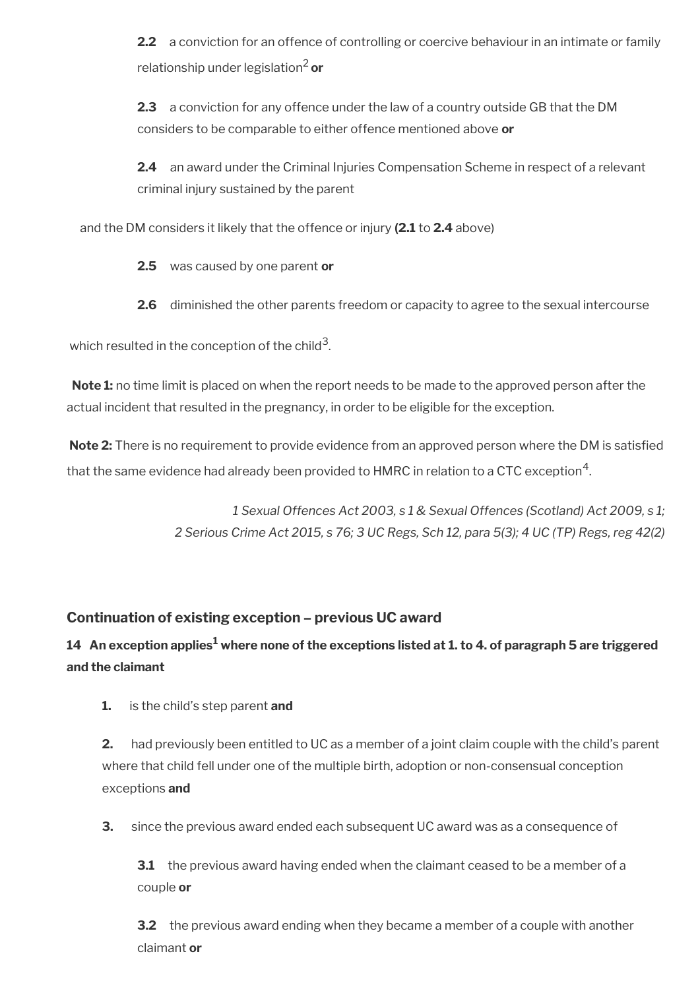**2.2** a conviction for an offence of controlling or coercive behaviour in an intimate or family relationship under legislation2 **or**

**2.3** a conviction for any offence under the law of a country outside GB that the DM considers to be comparable to either offence mentioned above **or** 

**2.4** an award under the Criminal Injuries Compensation Scheme in respect of a relevant criminal injury sustained by the parent

and the DM considers it likely that the offence or injury **(2.1** to **2.4** above)

**2.5** was caused by one parent **or**

**2.6** diminished the other parents freedom or capacity to agree to the sexual intercourse

which resulted in the conception of the child $^3$ .

**Note 1:** no time limit is placed on when the report needs to be made to the approved person after the actual incident that resulted in the pregnancy, in order to be eligible for the exception.

**Note 2:** There is no requirement to provide evidence from an approved person where the DM is satisfed that the same evidence had already been provided to <code>HMRC</code> in relation to a CTC exception $^{\rm 4}$ .

> *1 Sexual Offences Act 2003, s 1 & Sexual Offences (Scotland) Act 2009, s 1; 2 Serious Crime Act 2015, s 76; 3 UC Regs, Sch 12, para 5(3); 4 UC (TP) Regs, reg 42(2)*

# **Continuation of existing exception – previous UC award**

# **14 An exception applies<sup>1</sup> where none of the exceptions listed at 1. to 4. of paragraph 5 are triggered and the claimant**

**1.** is the child's step parent **and**

**2.** had previously been entitled to UC as a member of a joint claim couple with the child's parent where that child fell under one of the multiple birth, adoption or non-consensual conception exceptions **and**

**3.** since the previous award ended each subsequent UC award was as a consequence of

**3.1** the previous award having ended when the claimant ceased to be a member of a couple **or**

**3.2** the previous award ending when they became a member of a couple with another claimant **or**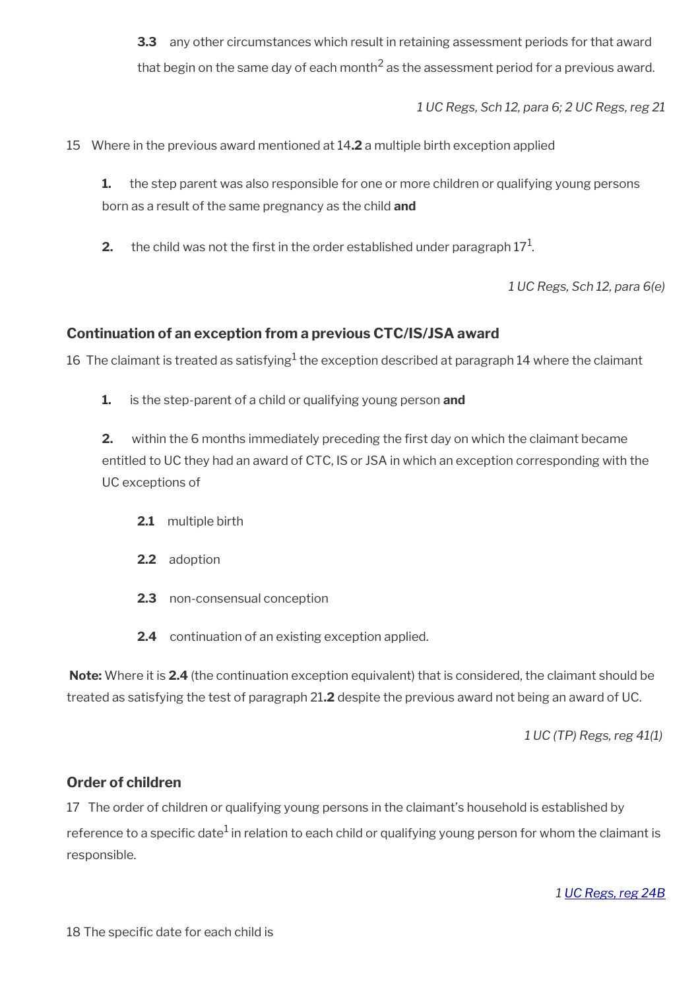**3.3** any other circumstances which result in retaining assessment periods for that award that begin on the same day of each month<sup>2</sup> as the assessment period for a previous award.

*1 UC Regs, Sch 12, para 6; 2 UC Regs, reg 21*

15 Where in the previous award mentioned at 14**.2** a multiple birth exception applied

**1.** the step parent was also responsible for one or more children or qualifying young persons born as a result of the same pregnancy as the child **and**

**2.**  $\,$  the child was not the first in the order established under paragraph  $17^{1}$ .

*1 UC Regs, Sch 12, para 6(e)*

### **Continuation of an exception from a previous CTC/IS/JSA award**

16 The claimant is treated as satisfying $^1$  the exception described at paragraph 14 where the claimant

**1.** is the step-parent of a child or qualifying young person **and**

**2.** within the 6 months immediately preceding the first day on which the claimant became entitled to UC they had an award of CTC, IS or JSA in which an exception corresponding with the UC exceptions of

- **2.1** multiple birth
- **2.2** adoption
- **2.3** non-consensual conception
- **2.4** continuation of an existing exception applied.

**Note:** Where it is **2.4** (the continuation exception equivalent) that is considered, the claimant should be treated as satisfying the test of paragraph 21**.2** despite the previous award not being an award of UC.

*1 UC (TP) Regs, reg 41(1)* 

#### **Order of children**

17 The order of children or qualifying young persons in the claimant's household is established by reference to a specific date $^1$  in relation to each child or qualifying young person for whom the claimant is responsible.

*1 [UC Regs, reg 24B](https://www.legislation.gov.uk/uksi/2013/376/regulation/24B)*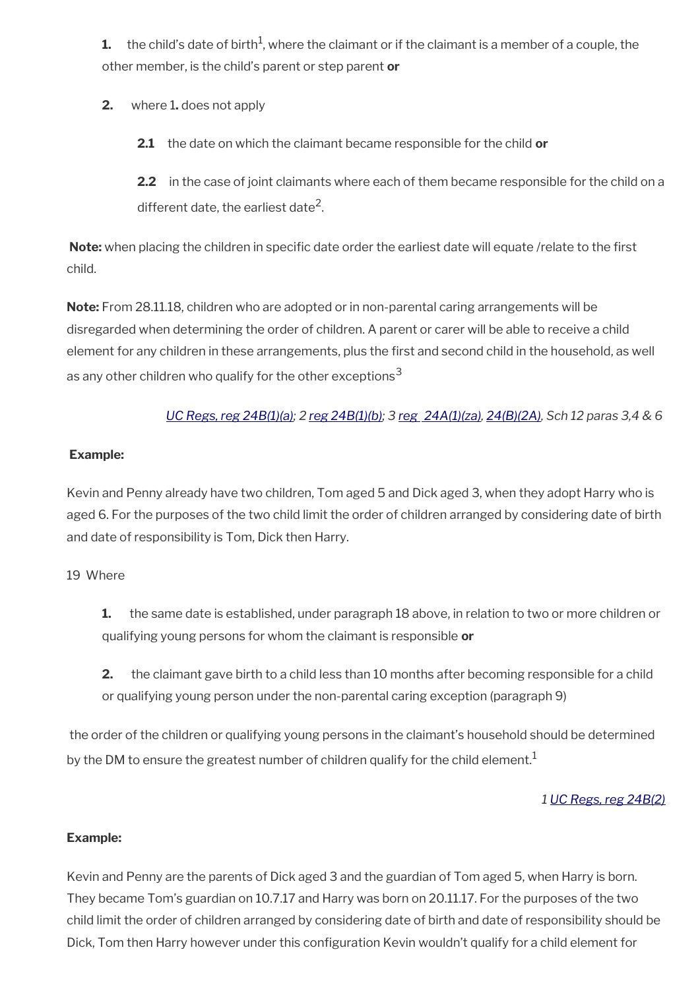**1.**  $\,$  the child's date of birth $^1$ , where the claimant or if the claimant is a member of a couple, the other member, is the child's parent or step parent **or**

- **2.** where 1**.** does not apply
	- **2.1** the date on which the claimant became responsible for the child **or**

**2.2** in the case of joint claimants where each of them became responsible for the child on a different date, the earliest date<sup>2</sup>.

**Note:** when placing the children in specific date order the earliest date will equate /relate to the first child.

**Note:** From 28.11.18, children who are adopted or in non-parental caring arrangements will be disregarded when determining the order of children. A parent or carer will be able to receive a child element for any children in these arrangements, plus the first and second child in the household, as well as any other children who qualify for the other exceptions<sup>3</sup>

# *[UC Regs, reg 24B\(1\)\(a\);](https://www.legislation.gov.uk/uksi/2013/376/regulation/24B) 2 [reg 24B\(1\)\(b\)](https://www.legislation.gov.uk/uksi/2013/376/regulation/24B); 3 [reg 24A\(1\)\(za\)](https://www.legislation.gov.uk/uksi/2013/376/regulation/24A), [24\(B\)\(2A\)](https://www.legislation.gov.uk/uksi/2013/376/regulation/24B), Sch 12 paras 3,4 & 6*

#### **Example:**

Kevin and Penny already have two children, Tom aged 5 and Dick aged 3, when they adopt Harry who is aged 6. For the purposes of the two child limit the order of children arranged by considering date of birth and date of responsibility is Tom, Dick then Harry.

#### 19 Where

- **1.** the same date is established, under paragraph 18 above, in relation to two or more children or qualifying young persons for whom the claimant is responsible **or**
- **2.** the claimant gave birth to a child less than 10 months after becoming responsible for a child or qualifying young person under the non-parental caring exception (paragraph 9)

the order of the children or qualifying young persons in the claimant's household should be determined by the DM to ensure the greatest number of children qualify for the child element.<sup>1</sup>

# *1 [UC Regs, reg 24B\(2\)](https://www.legislation.gov.uk/uksi/2013/376/regulation/24B)*

# **Example:**

Kevin and Penny are the parents of Dick aged 3 and the guardian of Tom aged 5, when Harry is born. They became Tom's guardian on 10.7.17 and Harry was born on 20.11.17. For the purposes of the two child limit the order of children arranged by considering date of birth and date of responsibility should be Dick, Tom then Harry however under this configuration Kevin wouldn't qualify for a child element for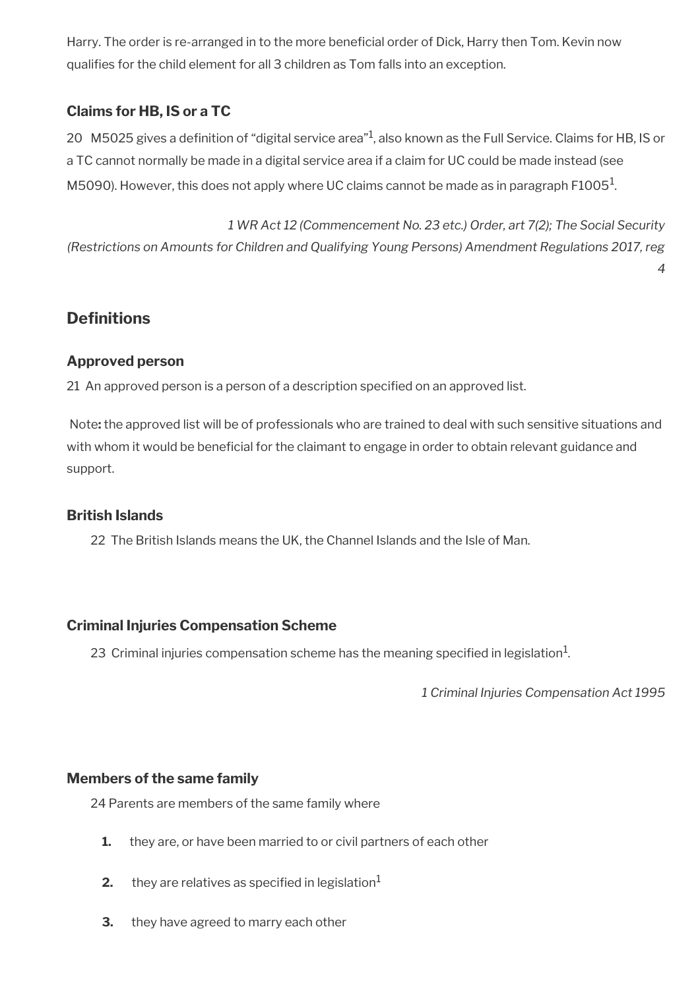Harry. The order is re-arranged in to the more beneficial order of Dick, Harry then Tom. Kevin now qualifes for the child element for all 3 children as Tom falls into an exception.

# **Claims for HB, IS or a TC**

20  $\,$  M5025 gives a definition of "digital service area" $^1$ , also known as the Full Service. Claims for HB, IS or a TC cannot normally be made in a digital service area if a claim for UC could be made instead (see M5090). However, this does not apply where UC claims cannot be made as in paragraph F1005 $^{\rm 1}$ .

*1 WR Act 12 (Commencement No. 23 etc.) Order, art 7(2); The Social Security (Restrictions on Amounts for Children and Qualifying Young Persons) Amendment Regulations 2017, reg*

# **Definitions**

### **Approved person**

21 An approved person is a person of a description specifed on an approved list.

Note**:** the approved list will be of professionals who are trained to deal with such sensitive situations and with whom it would be beneficial for the claimant to engage in order to obtain relevant guidance and support.

#### **British Islands**

22 The British Islands means the UK, the Channel Islands and the Isle of Man.

#### **Criminal Injuries Compensation Scheme**

23 Criminal injuries compensation scheme has the meaning specified in legislation<sup>1</sup>.

*1 Criminal Injuries Compensation Act 1995*

*4*

#### **Members of the same family**

24 Parents are members of the same family where

- **1.** they are, or have been married to or civil partners of each other
- **2.** they are relatives as specified in legislation<sup>1</sup>
- **3.** they have agreed to marry each other